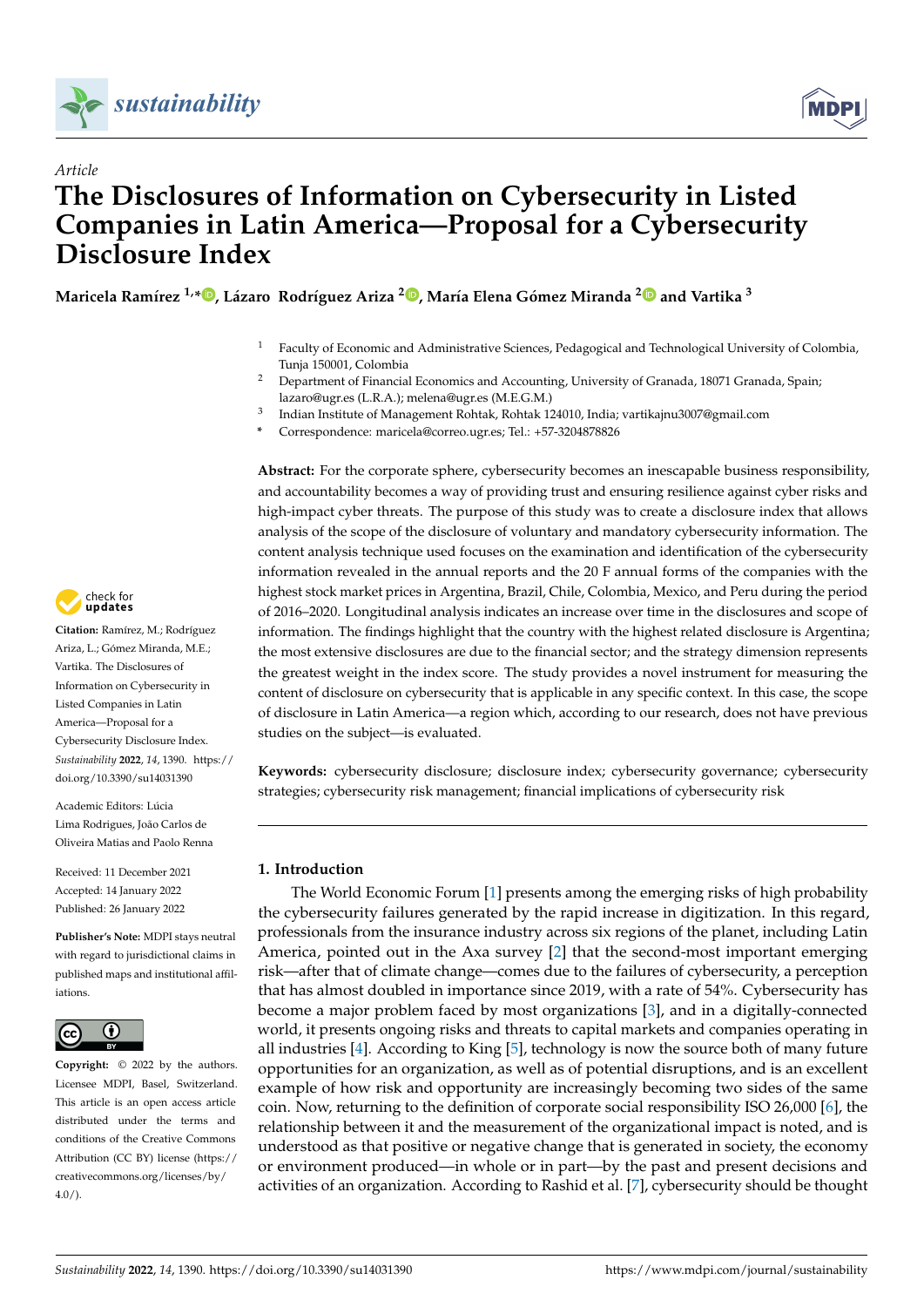



# *Article* **The Disclosures of Information on Cybersecurity in Listed Companies in Latin America—Proposal for a Cybersecurity Disclosure Index**

Maricela Ramírez <sup>1[,](https://orcid.org/0000-0002-5650-7703)</sup>\*®, Lázaro Rodríguez Ariza <sup>[2](https://orcid.org/0000-0001-7426-7136)</sup>®, María Elena Gómez Miranda <sup>2</sup>® and Vartika <sup>3</sup>

- <sup>1</sup> Faculty of Economic and Administrative Sciences, Pedagogical and Technological University of Colombia, Tunja 150001, Colombia
- <sup>2</sup> Department of Financial Economics and Accounting, University of Granada, 18071 Granada, Spain; lazaro@ugr.es (L.R.A.); melena@ugr.es (M.E.G.M.)
- 3 Indian Institute of Management Rohtak, Rohtak 124010, India; vartikajnu3007@gmail.com
- **\*** Correspondence: maricela@correo.ugr.es; Tel.: +57-3204878826

**Abstract:** For the corporate sphere, cybersecurity becomes an inescapable business responsibility, and accountability becomes a way of providing trust and ensuring resilience against cyber risks and high-impact cyber threats. The purpose of this study was to create a disclosure index that allows analysis of the scope of the disclosure of voluntary and mandatory cybersecurity information. The content analysis technique used focuses on the examination and identification of the cybersecurity information revealed in the annual reports and the 20 F annual forms of the companies with the highest stock market prices in Argentina, Brazil, Chile, Colombia, Mexico, and Peru during the period of 2016–2020. Longitudinal analysis indicates an increase over time in the disclosures and scope of information. The findings highlight that the country with the highest related disclosure is Argentina; the most extensive disclosures are due to the financial sector; and the strategy dimension represents the greatest weight in the index score. The study provides a novel instrument for measuring the content of disclosure on cybersecurity that is applicable in any specific context. In this case, the scope of disclosure in Latin America—a region which, according to our research, does not have previous studies on the subject—is evaluated.

**Keywords:** cybersecurity disclosure; disclosure index; cybersecurity governance; cybersecurity strategies; cybersecurity risk management; financial implications of cybersecurity risk

# **1. Introduction**

The World Economic Forum [\[1\]](#page-18-0) presents among the emerging risks of high probability the cybersecurity failures generated by the rapid increase in digitization. In this regard, professionals from the insurance industry across six regions of the planet, including Latin America, pointed out in the Axa survey [\[2\]](#page-18-1) that the second-most important emerging risk—after that of climate change—comes due to the failures of cybersecurity, a perception that has almost doubled in importance since 2019, with a rate of 54%. Cybersecurity has become a major problem faced by most organizations [\[3\]](#page-18-2), and in a digitally-connected world, it presents ongoing risks and threats to capital markets and companies operating in all industries [\[4\]](#page-18-3). According to King [\[5\]](#page-18-4), technology is now the source both of many future opportunities for an organization, as well as of potential disruptions, and is an excellent example of how risk and opportunity are increasingly becoming two sides of the same coin. Now, returning to the definition of corporate social responsibility ISO 26,000 [\[6\]](#page-18-5), the relationship between it and the measurement of the organizational impact is noted, and is understood as that positive or negative change that is generated in society, the economy or environment produced—in whole or in part—by the past and present decisions and activities of an organization. According to Rashid et al. [\[7\]](#page-18-6), cybersecurity should be thought



**Citation:** Ramírez, M.; Rodríguez Ariza, L.; Gómez Miranda, M.E.; Vartika. The Disclosures of Information on Cybersecurity in Listed Companies in Latin America—Proposal for a Cybersecurity Disclosure Index. *Sustainability* **2022**, *14*, 1390. [https://](https://doi.org/10.3390/su14031390) [doi.org/10.3390/su14031390](https://doi.org/10.3390/su14031390)

Academic Editors: Lúcia Lima Rodrigues, João Carlos de Oliveira Matias and Paolo Renna

Received: 11 December 2021 Accepted: 14 January 2022 Published: 26 January 2022

**Publisher's Note:** MDPI stays neutral with regard to jurisdictional claims in published maps and institutional affiliations.



**Copyright:** © 2022 by the authors. Licensee MDPI, Basel, Switzerland. This article is an open access article distributed under the terms and conditions of the Creative Commons Attribution (CC BY) license [\(https://](https://creativecommons.org/licenses/by/4.0/) [creativecommons.org/licenses/by/](https://creativecommons.org/licenses/by/4.0/)  $4.0/$ ).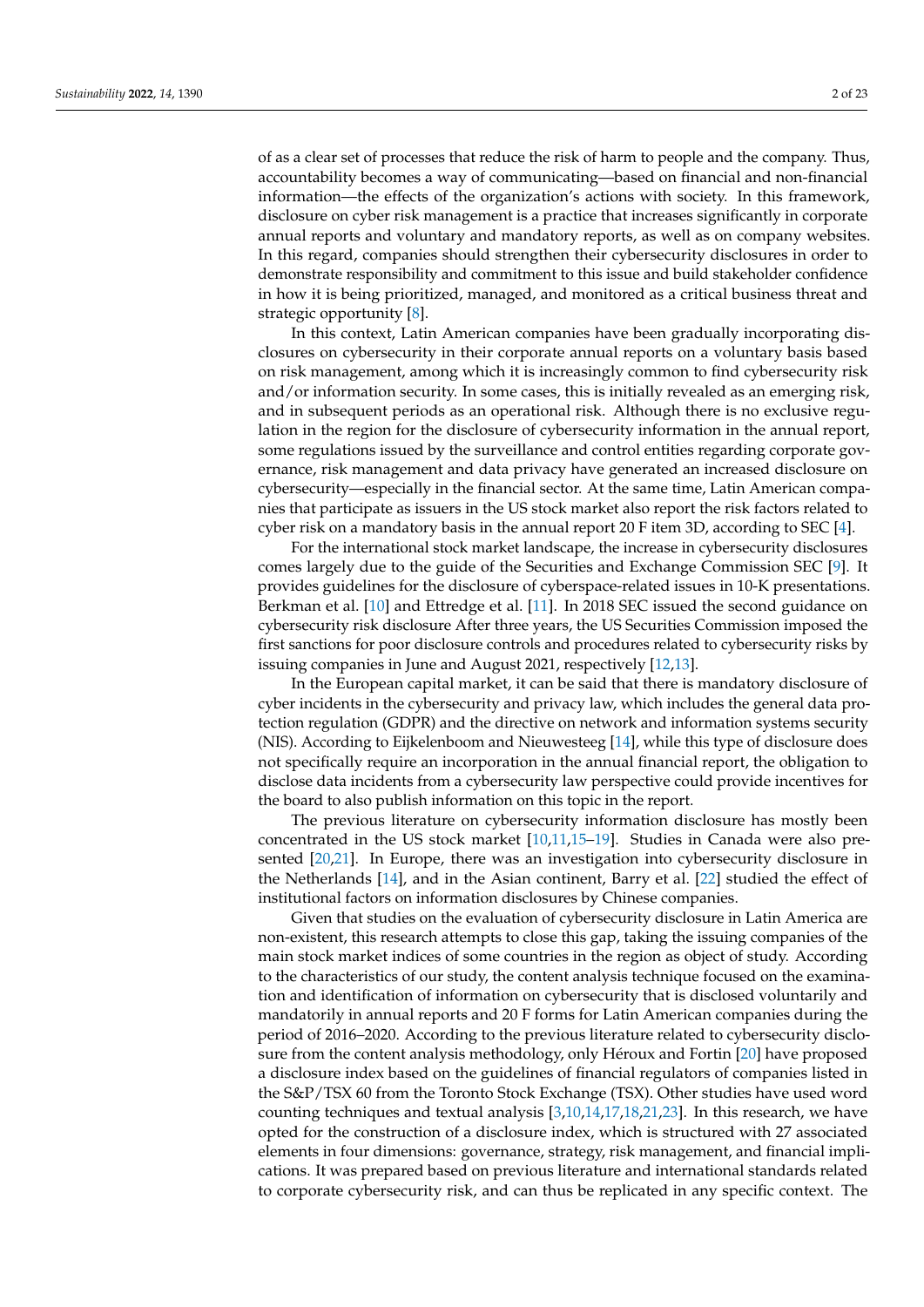of as a clear set of processes that reduce the risk of harm to people and the company. Thus, accountability becomes a way of communicating—based on financial and non-financial information—the effects of the organization's actions with society. In this framework, disclosure on cyber risk management is a practice that increases significantly in corporate annual reports and voluntary and mandatory reports, as well as on company websites. In this regard, companies should strengthen their cybersecurity disclosures in order to demonstrate responsibility and commitment to this issue and build stakeholder confidence in how it is being prioritized, managed, and monitored as a critical business threat and strategic opportunity [\[8\]](#page-18-7).

In this context, Latin American companies have been gradually incorporating disclosures on cybersecurity in their corporate annual reports on a voluntary basis based on risk management, among which it is increasingly common to find cybersecurity risk and/or information security. In some cases, this is initially revealed as an emerging risk, and in subsequent periods as an operational risk. Although there is no exclusive regulation in the region for the disclosure of cybersecurity information in the annual report, some regulations issued by the surveillance and control entities regarding corporate governance, risk management and data privacy have generated an increased disclosure on cybersecurity—especially in the financial sector. At the same time, Latin American companies that participate as issuers in the US stock market also report the risk factors related to cyber risk on a mandatory basis in the annual report 20 F item 3D, according to SEC [\[4\]](#page-18-3).

For the international stock market landscape, the increase in cybersecurity disclosures comes largely due to the guide of the Securities and Exchange Commission SEC [\[9\]](#page-18-8). It provides guidelines for the disclosure of cyberspace-related issues in 10-K presentations. Berkman et al. [\[10\]](#page-18-9) and Ettredge et al. [\[11\]](#page-18-10). In 2018 SEC issued the second guidance on cybersecurity risk disclosure After three years, the US Securities Commission imposed the first sanctions for poor disclosure controls and procedures related to cybersecurity risks by issuing companies in June and August 2021, respectively [\[12,](#page-18-11)[13\]](#page-18-12).

In the European capital market, it can be said that there is mandatory disclosure of cyber incidents in the cybersecurity and privacy law, which includes the general data protection regulation (GDPR) and the directive on network and information systems security (NIS). According to Eijkelenboom and Nieuwesteeg [\[14\]](#page-18-13), while this type of disclosure does not specifically require an incorporation in the annual financial report, the obligation to disclose data incidents from a cybersecurity law perspective could provide incentives for the board to also publish information on this topic in the report.

The previous literature on cybersecurity information disclosure has mostly been concentrated in the US stock market [\[10,](#page-18-9)[11](#page-18-10)[,15](#page-18-14)[–19\]](#page-19-0). Studies in Canada were also presented [\[20](#page-19-1)[,21\]](#page-19-2). In Europe, there was an investigation into cybersecurity disclosure in the Netherlands [\[14\]](#page-18-13), and in the Asian continent, Barry et al. [\[22\]](#page-19-3) studied the effect of institutional factors on information disclosures by Chinese companies.

Given that studies on the evaluation of cybersecurity disclosure in Latin America are non-existent, this research attempts to close this gap, taking the issuing companies of the main stock market indices of some countries in the region as object of study. According to the characteristics of our study, the content analysis technique focused on the examination and identification of information on cybersecurity that is disclosed voluntarily and mandatorily in annual reports and 20 F forms for Latin American companies during the period of 2016–2020. According to the previous literature related to cybersecurity disclosure from the content analysis methodology, only Héroux and Fortin [\[20\]](#page-19-1) have proposed a disclosure index based on the guidelines of financial regulators of companies listed in the S&P/TSX 60 from the Toronto Stock Exchange (TSX). Other studies have used word counting techniques and textual analysis [\[3](#page-18-2)[,10](#page-18-9)[,14](#page-18-13)[,17](#page-18-15)[,18](#page-19-4)[,21](#page-19-2)[,23\]](#page-19-5). In this research, we have opted for the construction of a disclosure index, which is structured with 27 associated elements in four dimensions: governance, strategy, risk management, and financial implications. It was prepared based on previous literature and international standards related to corporate cybersecurity risk, and can thus be replicated in any specific context. The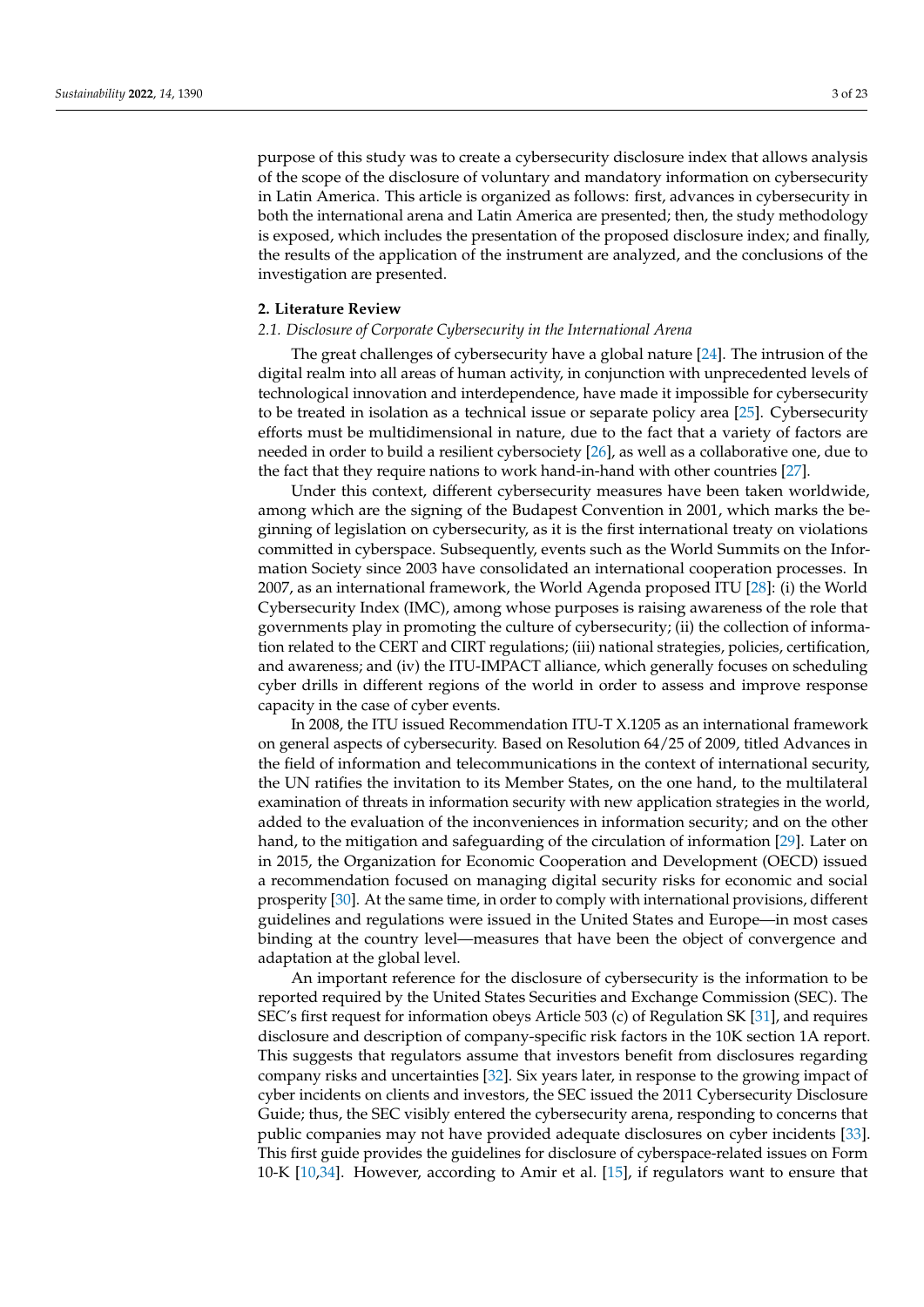purpose of this study was to create a cybersecurity disclosure index that allows analysis of the scope of the disclosure of voluntary and mandatory information on cybersecurity in Latin America. This article is organized as follows: first, advances in cybersecurity in both the international arena and Latin America are presented; then, the study methodology is exposed, which includes the presentation of the proposed disclosure index; and finally, the results of the application of the instrument are analyzed, and the conclusions of the investigation are presented.

## **2. Literature Review**

## *2.1. Disclosure of Corporate Cybersecurity in the International Arena*

The great challenges of cybersecurity have a global nature [\[24\]](#page-19-6). The intrusion of the digital realm into all areas of human activity, in conjunction with unprecedented levels of technological innovation and interdependence, have made it impossible for cybersecurity to be treated in isolation as a technical issue or separate policy area [\[25\]](#page-19-7). Cybersecurity efforts must be multidimensional in nature, due to the fact that a variety of factors are needed in order to build a resilient cybersociety [\[26\]](#page-19-8), as well as a collaborative one, due to the fact that they require nations to work hand-in-hand with other countries [\[27\]](#page-19-9).

Under this context, different cybersecurity measures have been taken worldwide, among which are the signing of the Budapest Convention in 2001, which marks the beginning of legislation on cybersecurity, as it is the first international treaty on violations committed in cyberspace. Subsequently, events such as the World Summits on the Information Society since 2003 have consolidated an international cooperation processes. In 2007, as an international framework, the World Agenda proposed ITU [\[28\]](#page-19-10): (i) the World Cybersecurity Index (IMC), among whose purposes is raising awareness of the role that governments play in promoting the culture of cybersecurity; (ii) the collection of information related to the CERT and CIRT regulations; (iii) national strategies, policies, certification, and awareness; and (iv) the ITU-IMPACT alliance, which generally focuses on scheduling cyber drills in different regions of the world in order to assess and improve response capacity in the case of cyber events.

In 2008, the ITU issued Recommendation ITU-T X.1205 as an international framework on general aspects of cybersecurity. Based on Resolution 64/25 of 2009, titled Advances in the field of information and telecommunications in the context of international security, the UN ratifies the invitation to its Member States, on the one hand, to the multilateral examination of threats in information security with new application strategies in the world, added to the evaluation of the inconveniences in information security; and on the other hand, to the mitigation and safeguarding of the circulation of information [\[29\]](#page-19-11). Later on in 2015, the Organization for Economic Cooperation and Development (OECD) issued a recommendation focused on managing digital security risks for economic and social prosperity [\[30\]](#page-19-12). At the same time, in order to comply with international provisions, different guidelines and regulations were issued in the United States and Europe—in most cases binding at the country level—measures that have been the object of convergence and adaptation at the global level.

An important reference for the disclosure of cybersecurity is the information to be reported required by the United States Securities and Exchange Commission (SEC). The SEC's first request for information obeys Article 503 (c) of Regulation SK [\[31\]](#page-19-13), and requires disclosure and description of company-specific risk factors in the 10K section 1A report. This suggests that regulators assume that investors benefit from disclosures regarding company risks and uncertainties [\[32\]](#page-19-14). Six years later, in response to the growing impact of cyber incidents on clients and investors, the SEC issued the 2011 Cybersecurity Disclosure Guide; thus, the SEC visibly entered the cybersecurity arena, responding to concerns that public companies may not have provided adequate disclosures on cyber incidents [\[33\]](#page-19-15). This first guide provides the guidelines for disclosure of cyberspace-related issues on Form 10-K [\[10,](#page-18-9)[34\]](#page-19-16). However, according to Amir et al. [\[15\]](#page-18-14), if regulators want to ensure that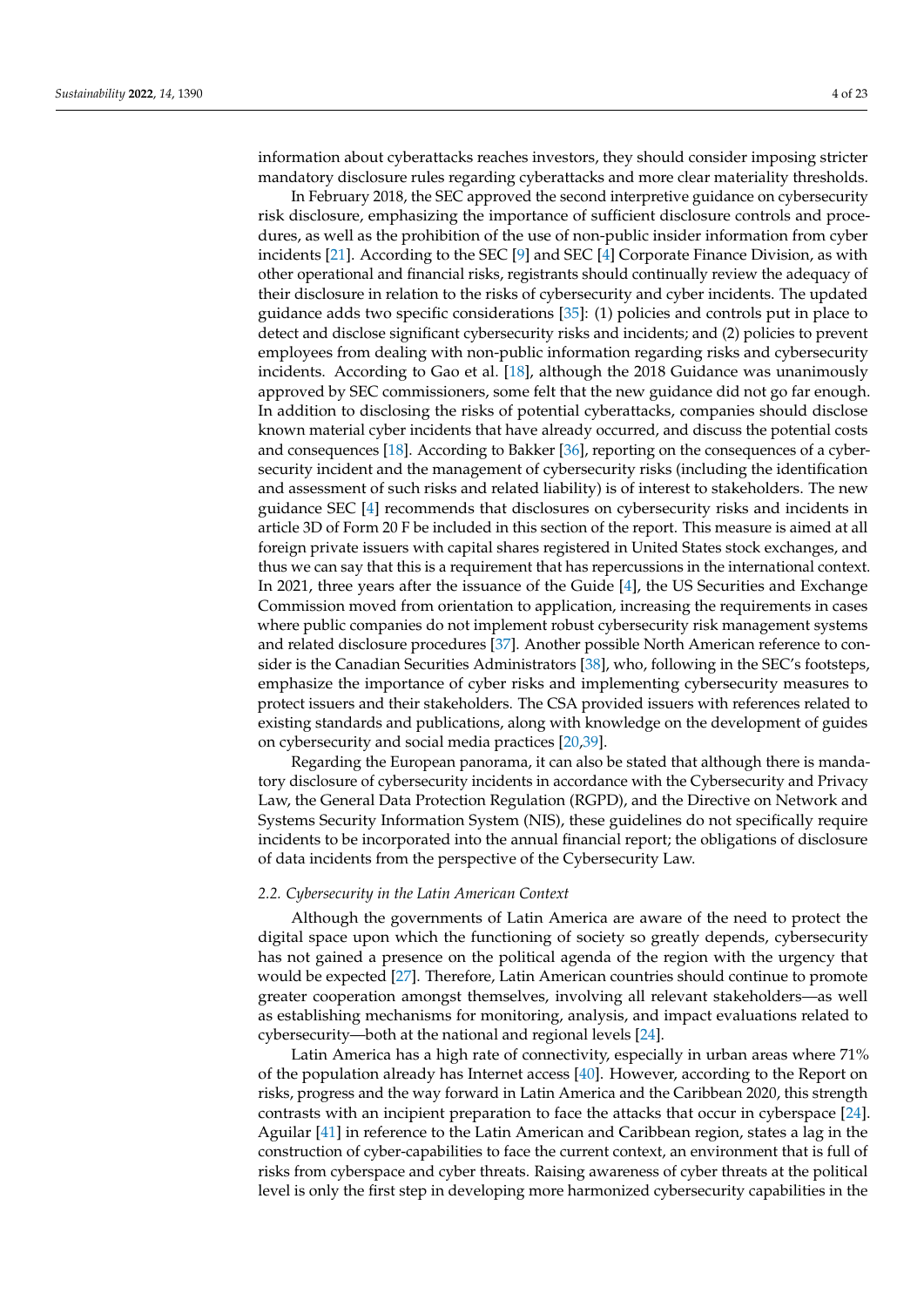information about cyberattacks reaches investors, they should consider imposing stricter mandatory disclosure rules regarding cyberattacks and more clear materiality thresholds.

In February 2018, the SEC approved the second interpretive guidance on cybersecurity risk disclosure, emphasizing the importance of sufficient disclosure controls and procedures, as well as the prohibition of the use of non-public insider information from cyber incidents [\[21\]](#page-19-2). According to the SEC [\[9\]](#page-18-8) and SEC [\[4\]](#page-18-3) Corporate Finance Division, as with other operational and financial risks, registrants should continually review the adequacy of their disclosure in relation to the risks of cybersecurity and cyber incidents. The updated guidance adds two specific considerations  $[35]$ : (1) policies and controls put in place to detect and disclose significant cybersecurity risks and incidents; and (2) policies to prevent employees from dealing with non-public information regarding risks and cybersecurity incidents. According to Gao et al. [\[18\]](#page-19-4), although the 2018 Guidance was unanimously approved by SEC commissioners, some felt that the new guidance did not go far enough. In addition to disclosing the risks of potential cyberattacks, companies should disclose known material cyber incidents that have already occurred, and discuss the potential costs and consequences [\[18\]](#page-19-4). According to Bakker [\[36\]](#page-19-18), reporting on the consequences of a cybersecurity incident and the management of cybersecurity risks (including the identification and assessment of such risks and related liability) is of interest to stakeholders. The new guidance SEC [\[4\]](#page-18-3) recommends that disclosures on cybersecurity risks and incidents in article 3D of Form 20 F be included in this section of the report. This measure is aimed at all foreign private issuers with capital shares registered in United States stock exchanges, and thus we can say that this is a requirement that has repercussions in the international context. In 2021, three years after the issuance of the Guide [\[4\]](#page-18-3), the US Securities and Exchange Commission moved from orientation to application, increasing the requirements in cases where public companies do not implement robust cybersecurity risk management systems and related disclosure procedures [\[37\]](#page-19-19). Another possible North American reference to consider is the Canadian Securities Administrators [\[38\]](#page-19-20), who, following in the SEC's footsteps, emphasize the importance of cyber risks and implementing cybersecurity measures to protect issuers and their stakeholders. The CSA provided issuers with references related to existing standards and publications, along with knowledge on the development of guides on cybersecurity and social media practices [\[20,](#page-19-1)[39\]](#page-19-21).

Regarding the European panorama, it can also be stated that although there is mandatory disclosure of cybersecurity incidents in accordance with the Cybersecurity and Privacy Law, the General Data Protection Regulation (RGPD), and the Directive on Network and Systems Security Information System (NIS), these guidelines do not specifically require incidents to be incorporated into the annual financial report; the obligations of disclosure of data incidents from the perspective of the Cybersecurity Law.

#### *2.2. Cybersecurity in the Latin American Context*

Although the governments of Latin America are aware of the need to protect the digital space upon which the functioning of society so greatly depends, cybersecurity has not gained a presence on the political agenda of the region with the urgency that would be expected [\[27\]](#page-19-9). Therefore, Latin American countries should continue to promote greater cooperation amongst themselves, involving all relevant stakeholders—as well as establishing mechanisms for monitoring, analysis, and impact evaluations related to cybersecurity—both at the national and regional levels [\[24\]](#page-19-6).

Latin America has a high rate of connectivity, especially in urban areas where 71% of the population already has Internet access [\[40\]](#page-19-22). However, according to the Report on risks, progress and the way forward in Latin America and the Caribbean 2020, this strength contrasts with an incipient preparation to face the attacks that occur in cyberspace [\[24\]](#page-19-6). Aguilar [\[41\]](#page-19-23) in reference to the Latin American and Caribbean region, states a lag in the construction of cyber-capabilities to face the current context, an environment that is full of risks from cyberspace and cyber threats. Raising awareness of cyber threats at the political level is only the first step in developing more harmonized cybersecurity capabilities in the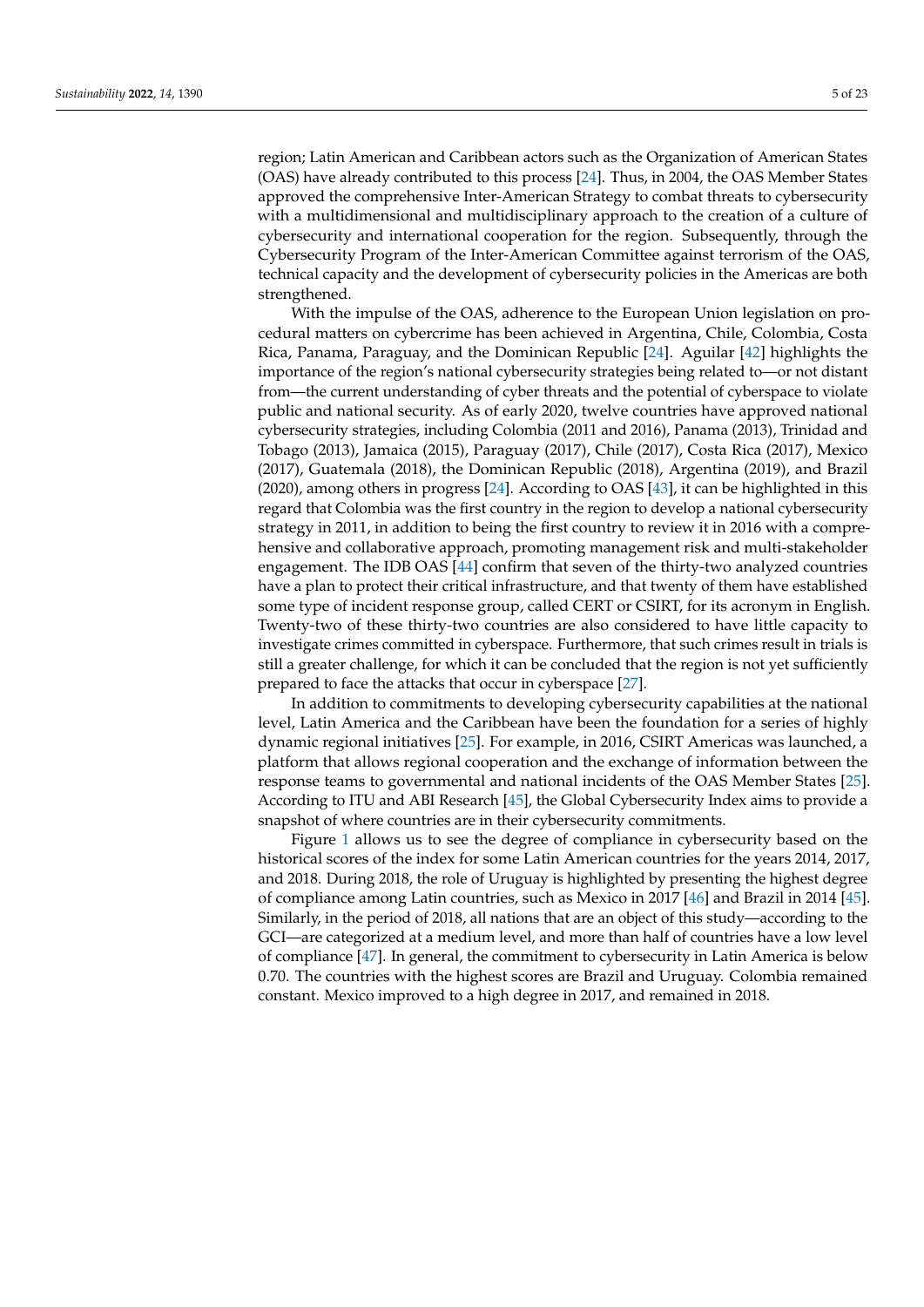region; Latin American and Caribbean actors such as the Organization of American States (OAS) have already contributed to this process [\[24\]](#page-19-6). Thus, in 2004, the OAS Member States approved the comprehensive Inter-American Strategy to combat threats to cybersecurity with a multidimensional and multidisciplinary approach to the creation of a culture of cybersecurity and international cooperation for the region. Subsequently, through the Cybersecurity Program of the Inter-American Committee against terrorism of the OAS, technical capacity and the development of cybersecurity policies in the Americas are both strengthened.

With the impulse of the OAS, adherence to the European Union legislation on procedural matters on cybercrime has been achieved in Argentina, Chile, Colombia, Costa Rica, Panama, Paraguay, and the Dominican Republic [\[24\]](#page-19-6). Aguilar [\[42\]](#page-19-24) highlights the importance of the region's national cybersecurity strategies being related to—or not distant from—the current understanding of cyber threats and the potential of cyberspace to violate public and national security. As of early 2020, twelve countries have approved national cybersecurity strategies, including Colombia (2011 and 2016), Panama (2013), Trinidad and Tobago (2013), Jamaica (2015), Paraguay (2017), Chile (2017), Costa Rica (2017), Mexico (2017), Guatemala (2018), the Dominican Republic (2018), Argentina (2019), and Brazil (2020), among others in progress [\[24\]](#page-19-6). According to OAS [\[43\]](#page-19-25), it can be highlighted in this regard that Colombia was the first country in the region to develop a national cybersecurity strategy in 2011, in addition to being the first country to review it in 2016 with a comprehensive and collaborative approach, promoting management risk and multi-stakeholder engagement. The IDB OAS [\[44\]](#page-20-0) confirm that seven of the thirty-two analyzed countries have a plan to protect their critical infrastructure, and that twenty of them have established some type of incident response group, called CERT or CSIRT, for its acronym in English. Twenty-two of these thirty-two countries are also considered to have little capacity to investigate crimes committed in cyberspace. Furthermore, that such crimes result in trials is still a greater challenge, for which it can be concluded that the region is not yet sufficiently prepared to face the attacks that occur in cyberspace [\[27\]](#page-19-9).

In addition to commitments to developing cybersecurity capabilities at the national level, Latin America and the Caribbean have been the foundation for a series of highly dynamic regional initiatives [\[25\]](#page-19-7). For example, in 2016, CSIRT Americas was launched, a platform that allows regional cooperation and the exchange of information between the response teams to governmental and national incidents of the OAS Member States [\[25\]](#page-19-7). According to ITU and ABI Research [\[45\]](#page-20-1), the Global Cybersecurity Index aims to provide a snapshot of where countries are in their cybersecurity commitments.

Figure [1](#page-5-0) allows us to see the degree of compliance in cybersecurity based on the historical scores of the index for some Latin American countries for the years 2014, 2017, and 2018. During 2018, the role of Uruguay is highlighted by presenting the highest degree of compliance among Latin countries, such as Mexico in 2017 [\[46\]](#page-20-2) and Brazil in 2014 [\[45\]](#page-20-1). Similarly, in the period of 2018, all nations that are an object of this study—according to the GCI—are categorized at a medium level, and more than half of countries have a low level of compliance [\[47\]](#page-20-3). In general, the commitment to cybersecurity in Latin America is below 0.70. The countries with the highest scores are Brazil and Uruguay. Colombia remained constant. Mexico improved to a high degree in 2017, and remained in 2018.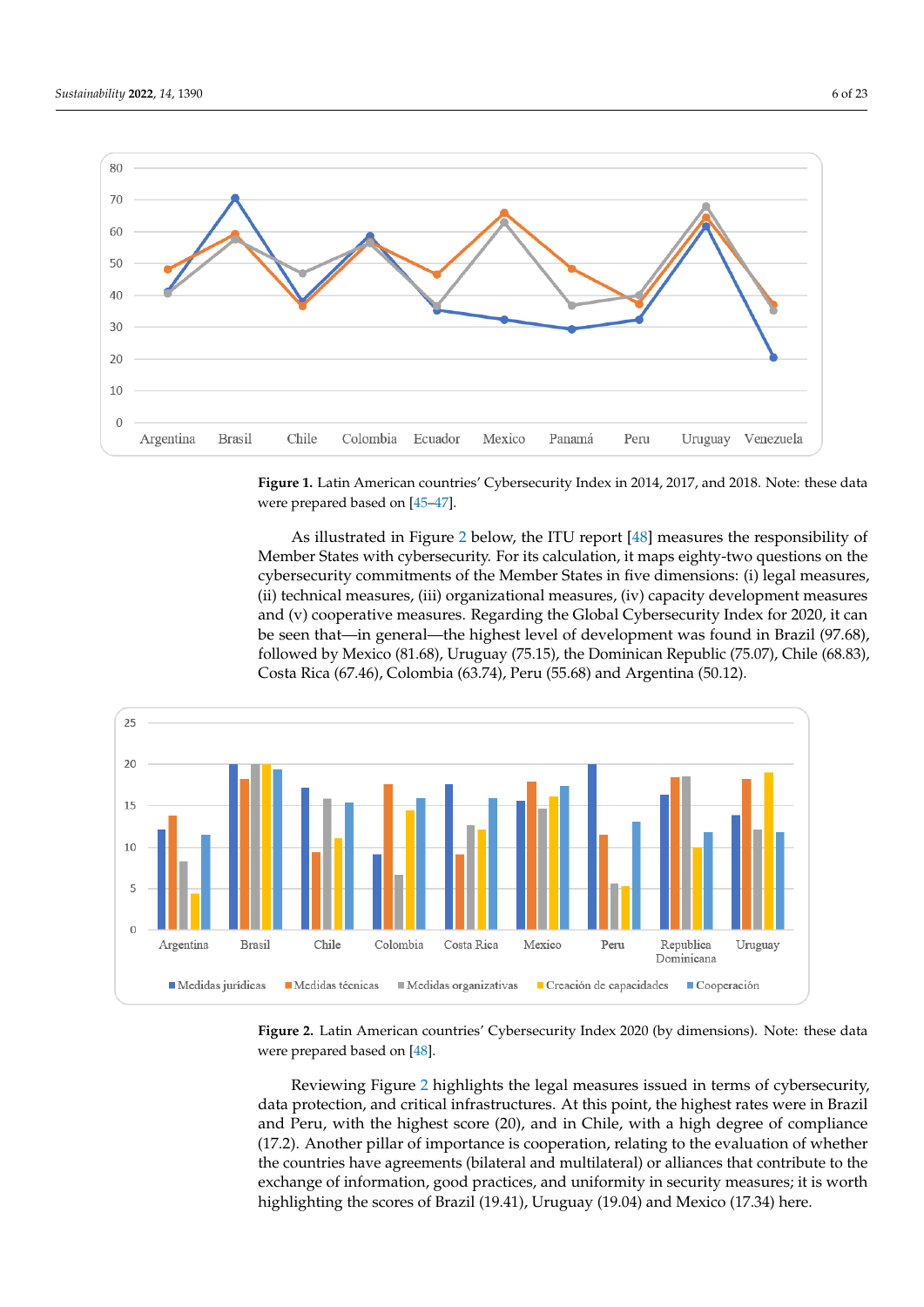<span id="page-5-0"></span>

Figure 1. Latin American countries' Cybersecurity Index in 2014, 2017, and 2018. Note: these data were prepared based on [45–47] were prepared based on [\[45–](#page-20-1)[47\]](#page-20-3). were prepared based on [45–47]

As illustrated in Figure 2 below, the ITU report [\[48\]](#page-20-4) measures the responsibility of Member States with cybersecurity. For its calculation, it maps eighty-two questions on the cybersecurity commitments of the Member States in five dimensions: (i) legal measures, (ii) technical measures, (iii) organizational measures, (iv) capacity development measures and (v) cooperative measures. Regarding the Global Cybersecurity Index for 2020, it can be seen that—in general—the highest level of development was found in Brazil (97.68), followed by Mexico (81.68), Uruguay (75.15), the Dominican Republic (75.07), Chile (68.83), Costa Rica (67.46), Colombia (63.74), Peru (55.68) and Argentina (50.12).

<span id="page-5-1"></span>

Figure 2. Latin American countries' Cybersecurity Index 2020 (by dimensions). Note: these data were prepared based on [48] were prepared based on [48] were prepared based on [\[48\]](#page-20-4).

Reviewing Figure [2](#page-5-1) highlights the legal measures issued in terms of cybersecurity, data protection, and critical infrastructures. At this point, the highest rates were in Brazil and Peru, with the highest score (20), and in Chile, with a high degree of compliance (17.2). Another pillar of importance is cooperation, relating to the evaluation of whether the countries have agreements (bilateral and multilateral) or alliances that contribute to the exchange of information, good practices, and uniformity in security measures; it is worth highlighting the scores of Brazil (19.41), Uruguay (19.04) and Mexico (17.34) here.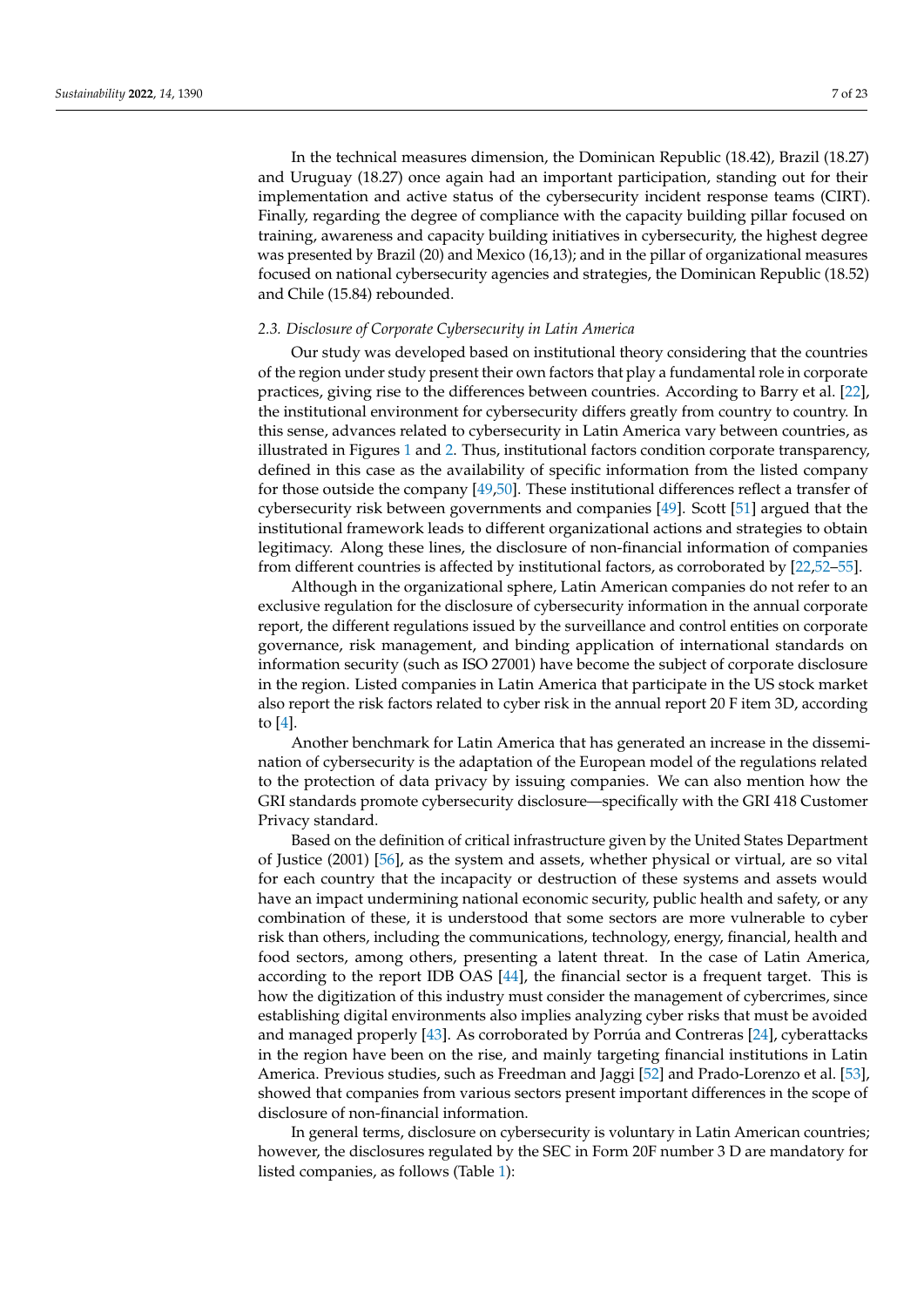In the technical measures dimension, the Dominican Republic (18.42), Brazil (18.27) and Uruguay (18.27) once again had an important participation, standing out for their implementation and active status of the cybersecurity incident response teams (CIRT). Finally, regarding the degree of compliance with the capacity building pillar focused on training, awareness and capacity building initiatives in cybersecurity, the highest degree was presented by Brazil (20) and Mexico (16,13); and in the pillar of organizational measures focused on national cybersecurity agencies and strategies, the Dominican Republic (18.52) and Chile (15.84) rebounded.

## *2.3. Disclosure of Corporate Cybersecurity in Latin America*

Our study was developed based on institutional theory considering that the countries of the region under study present their own factors that play a fundamental role in corporate practices, giving rise to the differences between countries. According to Barry et al. [\[22\]](#page-19-3), the institutional environment for cybersecurity differs greatly from country to country. In this sense, advances related to cybersecurity in Latin America vary between countries, as illustrated in Figures [1](#page-5-0) and [2.](#page-5-1) Thus, institutional factors condition corporate transparency, defined in this case as the availability of specific information from the listed company for those outside the company [\[49,](#page-20-5)[50\]](#page-20-6). These institutional differences reflect a transfer of cybersecurity risk between governments and companies [\[49\]](#page-20-5). Scott [\[51\]](#page-20-7) argued that the institutional framework leads to different organizational actions and strategies to obtain legitimacy. Along these lines, the disclosure of non-financial information of companies from different countries is affected by institutional factors, as corroborated by [\[22,](#page-19-3)[52](#page-20-8)[–55\]](#page-20-9).

Although in the organizational sphere, Latin American companies do not refer to an exclusive regulation for the disclosure of cybersecurity information in the annual corporate report, the different regulations issued by the surveillance and control entities on corporate governance, risk management, and binding application of international standards on information security (such as ISO 27001) have become the subject of corporate disclosure in the region. Listed companies in Latin America that participate in the US stock market also report the risk factors related to cyber risk in the annual report 20 F item 3D, according to [\[4\]](#page-18-3).

Another benchmark for Latin America that has generated an increase in the dissemination of cybersecurity is the adaptation of the European model of the regulations related to the protection of data privacy by issuing companies. We can also mention how the GRI standards promote cybersecurity disclosure—specifically with the GRI 418 Customer Privacy standard.

Based on the definition of critical infrastructure given by the United States Department of Justice (2001) [\[56\]](#page-20-10), as the system and assets, whether physical or virtual, are so vital for each country that the incapacity or destruction of these systems and assets would have an impact undermining national economic security, public health and safety, or any combination of these, it is understood that some sectors are more vulnerable to cyber risk than others, including the communications, technology, energy, financial, health and food sectors, among others, presenting a latent threat. In the case of Latin America, according to the report IDB OAS [\[44\]](#page-20-0), the financial sector is a frequent target. This is how the digitization of this industry must consider the management of cybercrimes, since establishing digital environments also implies analyzing cyber risks that must be avoided and managed properly [\[43\]](#page-19-25). As corroborated by Porrúa and Contreras [\[24\]](#page-19-6), cyberattacks in the region have been on the rise, and mainly targeting financial institutions in Latin America. Previous studies, such as Freedman and Jaggi [\[52\]](#page-20-8) and Prado-Lorenzo et al. [\[53\]](#page-20-11), showed that companies from various sectors present important differences in the scope of disclosure of non-financial information.

In general terms, disclosure on cybersecurity is voluntary in Latin American countries; however, the disclosures regulated by the SEC in Form 20F number 3 D are mandatory for listed companies, as follows (Table [1\)](#page-7-0):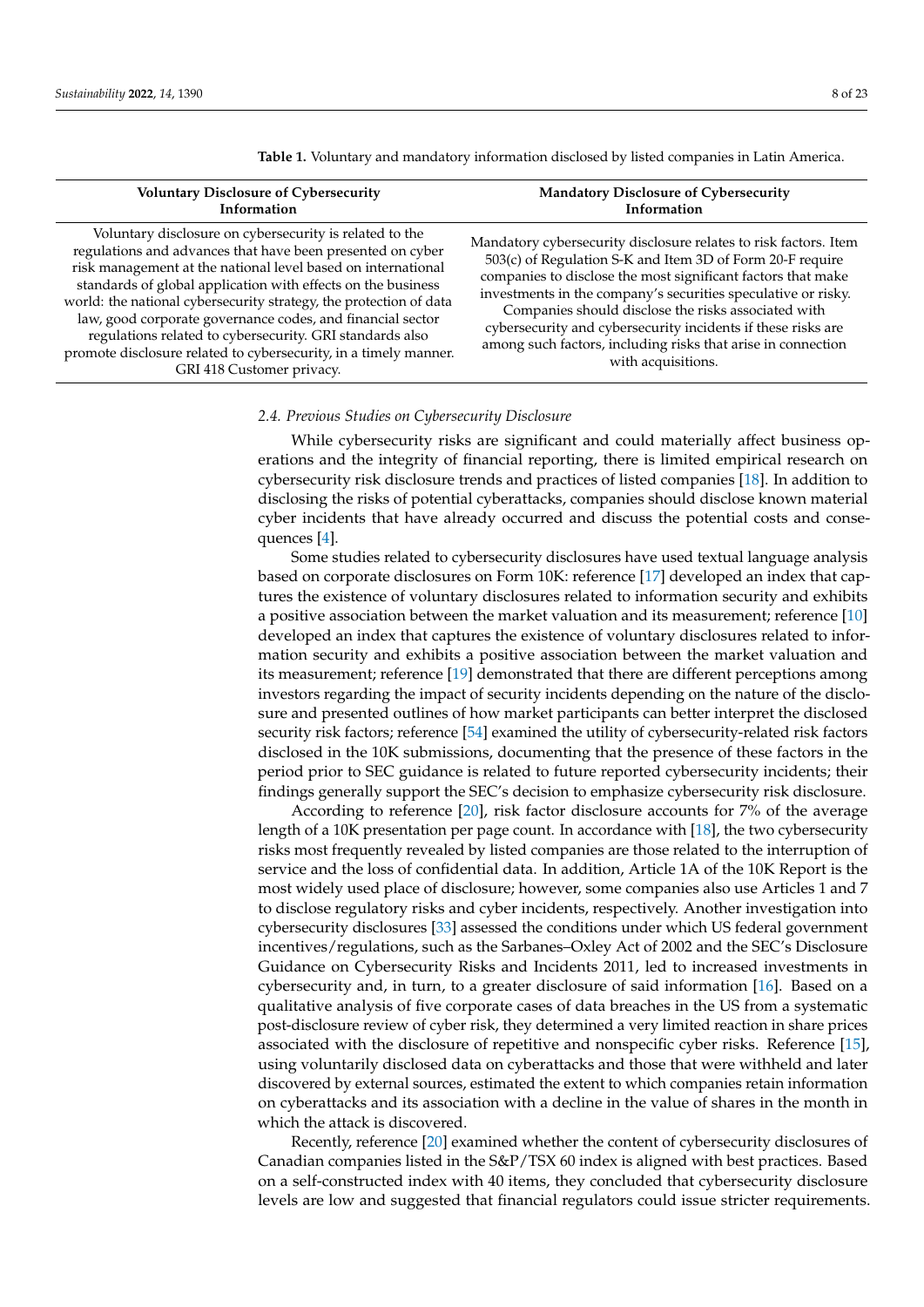| <b>Voluntary Disclosure of Cybersecurity</b><br>Information                                                                                                                                                                                                                                                                                                                                                                                                                                                                                            | <b>Mandatory Disclosure of Cybersecurity</b><br>Information                                                                                                                                                                                                                                                                                                                                                                                                                 |
|--------------------------------------------------------------------------------------------------------------------------------------------------------------------------------------------------------------------------------------------------------------------------------------------------------------------------------------------------------------------------------------------------------------------------------------------------------------------------------------------------------------------------------------------------------|-----------------------------------------------------------------------------------------------------------------------------------------------------------------------------------------------------------------------------------------------------------------------------------------------------------------------------------------------------------------------------------------------------------------------------------------------------------------------------|
| Voluntary disclosure on cybersecurity is related to the<br>regulations and advances that have been presented on cyber<br>risk management at the national level based on international<br>standards of global application with effects on the business<br>world: the national cybersecurity strategy, the protection of data<br>law, good corporate governance codes, and financial sector<br>regulations related to cybersecurity. GRI standards also<br>promote disclosure related to cybersecurity, in a timely manner.<br>GRI 418 Customer privacy. | Mandatory cybersecurity disclosure relates to risk factors. Item<br>503(c) of Regulation S-K and Item 3D of Form 20-F require<br>companies to disclose the most significant factors that make<br>investments in the company's securities speculative or risky.<br>Companies should disclose the risks associated with<br>cybersecurity and cybersecurity incidents if these risks are<br>among such factors, including risks that arise in connection<br>with acquisitions. |

<span id="page-7-0"></span>**Table 1.** Voluntary and mandatory information disclosed by listed companies in Latin America.

## *2.4. Previous Studies on Cybersecurity Disclosure*

While cybersecurity risks are significant and could materially affect business operations and the integrity of financial reporting, there is limited empirical research on cybersecurity risk disclosure trends and practices of listed companies [\[18\]](#page-19-4). In addition to disclosing the risks of potential cyberattacks, companies should disclose known material cyber incidents that have already occurred and discuss the potential costs and consequences [\[4\]](#page-18-3).

Some studies related to cybersecurity disclosures have used textual language analysis based on corporate disclosures on Form 10K: reference [\[17\]](#page-18-15) developed an index that captures the existence of voluntary disclosures related to information security and exhibits a positive association between the market valuation and its measurement; reference [\[10\]](#page-18-9) developed an index that captures the existence of voluntary disclosures related to information security and exhibits a positive association between the market valuation and its measurement; reference [\[19\]](#page-19-0) demonstrated that there are different perceptions among investors regarding the impact of security incidents depending on the nature of the disclosure and presented outlines of how market participants can better interpret the disclosed security risk factors; reference [\[54\]](#page-20-12) examined the utility of cybersecurity-related risk factors disclosed in the 10K submissions, documenting that the presence of these factors in the period prior to SEC guidance is related to future reported cybersecurity incidents; their findings generally support the SEC's decision to emphasize cybersecurity risk disclosure.

According to reference [\[20\]](#page-19-1), risk factor disclosure accounts for 7% of the average length of a 10K presentation per page count. In accordance with [\[18\]](#page-19-4), the two cybersecurity risks most frequently revealed by listed companies are those related to the interruption of service and the loss of confidential data. In addition, Article 1A of the 10K Report is the most widely used place of disclosure; however, some companies also use Articles 1 and 7 to disclose regulatory risks and cyber incidents, respectively. Another investigation into cybersecurity disclosures [\[33\]](#page-19-15) assessed the conditions under which US federal government incentives/regulations, such as the Sarbanes–Oxley Act of 2002 and the SEC's Disclosure Guidance on Cybersecurity Risks and Incidents 2011, led to increased investments in cybersecurity and, in turn, to a greater disclosure of said information [\[16\]](#page-18-16). Based on a qualitative analysis of five corporate cases of data breaches in the US from a systematic post-disclosure review of cyber risk, they determined a very limited reaction in share prices associated with the disclosure of repetitive and nonspecific cyber risks. Reference [\[15\]](#page-18-14), using voluntarily disclosed data on cyberattacks and those that were withheld and later discovered by external sources, estimated the extent to which companies retain information on cyberattacks and its association with a decline in the value of shares in the month in which the attack is discovered.

Recently, reference [\[20\]](#page-19-1) examined whether the content of cybersecurity disclosures of Canadian companies listed in the S&P/TSX 60 index is aligned with best practices. Based on a self-constructed index with 40 items, they concluded that cybersecurity disclosure levels are low and suggested that financial regulators could issue stricter requirements.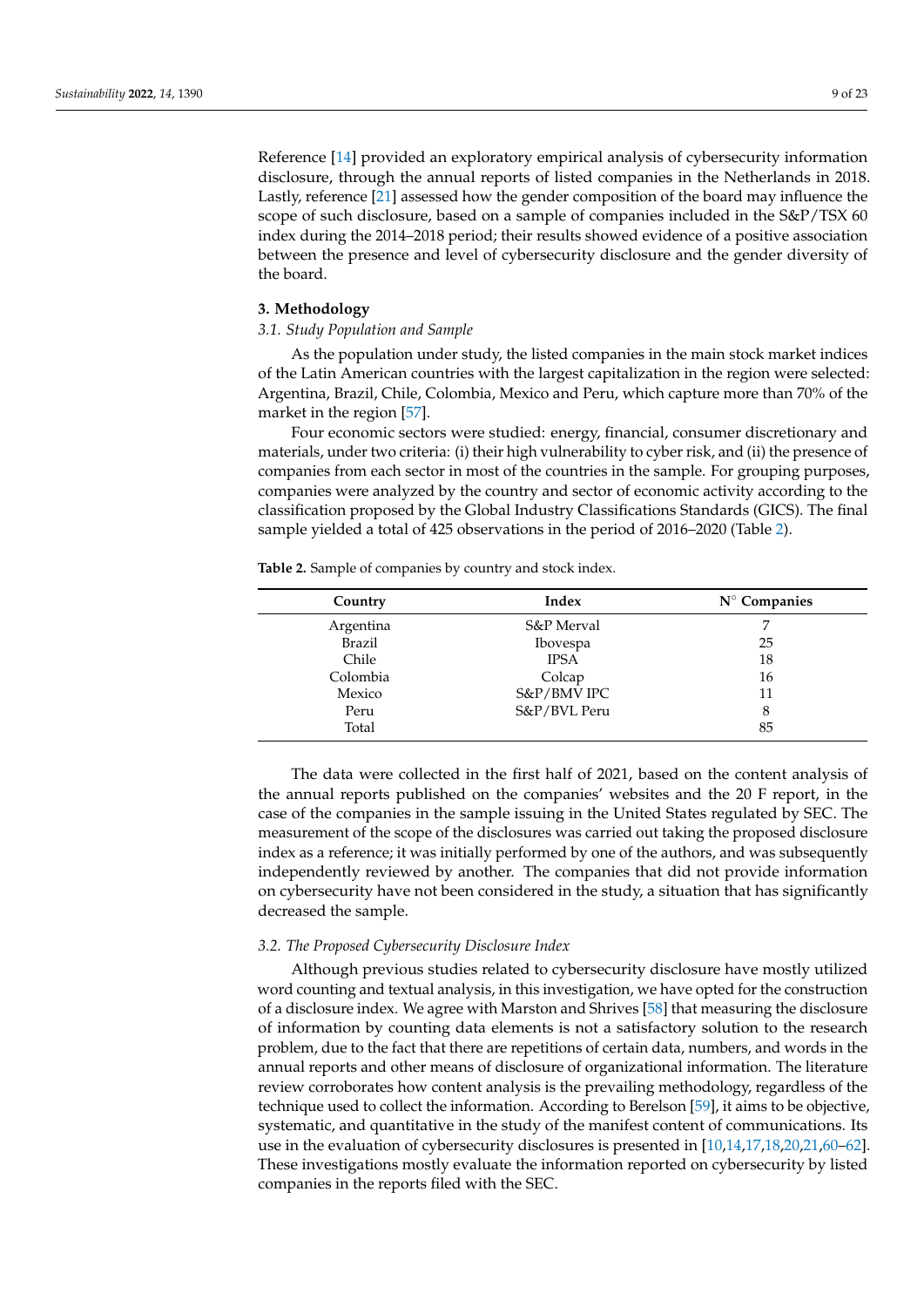Reference [\[14\]](#page-18-13) provided an exploratory empirical analysis of cybersecurity information disclosure, through the annual reports of listed companies in the Netherlands in 2018. Lastly, reference [\[21\]](#page-19-2) assessed how the gender composition of the board may influence the scope of such disclosure, based on a sample of companies included in the S&P/TSX 60 index during the 2014–2018 period; their results showed evidence of a positive association between the presence and level of cybersecurity disclosure and the gender diversity of the board.

## **3. Methodology**

# *3.1. Study Population and Sample*

As the population under study, the listed companies in the main stock market indices of the Latin American countries with the largest capitalization in the region were selected: Argentina, Brazil, Chile, Colombia, Mexico and Peru, which capture more than 70% of the market in the region [\[57\]](#page-20-13).

Four economic sectors were studied: energy, financial, consumer discretionary and materials, under two criteria: (i) their high vulnerability to cyber risk, and (ii) the presence of companies from each sector in most of the countries in the sample. For grouping purposes, companies were analyzed by the country and sector of economic activity according to the classification proposed by the Global Industry Classifications Standards (GICS). The final sample yielded a total of 425 observations in the period of 2016–2020 (Table [2\)](#page-8-0).

<span id="page-8-0"></span>**Table 2.** Sample of companies by country and stock index.

| Country       | Index           | $N^{\circ}$ Companies |
|---------------|-----------------|-----------------------|
| Argentina     | S&P Merval      | 7                     |
| <b>Brazil</b> | <b>Ibovespa</b> | 25                    |
| Chile         | <b>IPSA</b>     | 18                    |
| Colombia      | Colcap          | 16                    |
| Mexico        | S&P/BMV IPC     | 11                    |
| Peru          | S&P/BVL Peru    | 8                     |
| Total         |                 | 85                    |

The data were collected in the first half of 2021, based on the content analysis of the annual reports published on the companies' websites and the 20 F report, in the case of the companies in the sample issuing in the United States regulated by SEC. The measurement of the scope of the disclosures was carried out taking the proposed disclosure index as a reference; it was initially performed by one of the authors, and was subsequently independently reviewed by another. The companies that did not provide information on cybersecurity have not been considered in the study, a situation that has significantly decreased the sample.

## *3.2. The Proposed Cybersecurity Disclosure Index*

Although previous studies related to cybersecurity disclosure have mostly utilized word counting and textual analysis, in this investigation, we have opted for the construction of a disclosure index. We agree with Marston and Shrives [\[58\]](#page-20-14) that measuring the disclosure of information by counting data elements is not a satisfactory solution to the research problem, due to the fact that there are repetitions of certain data, numbers, and words in the annual reports and other means of disclosure of organizational information. The literature review corroborates how content analysis is the prevailing methodology, regardless of the technique used to collect the information. According to Berelson [\[59\]](#page-20-15), it aims to be objective, systematic, and quantitative in the study of the manifest content of communications. Its use in the evaluation of cybersecurity disclosures is presented in [\[10](#page-18-9)[,14](#page-18-13)[,17](#page-18-15)[,18](#page-19-4)[,20](#page-19-1)[,21](#page-19-2)[,60](#page-20-16)[–62\]](#page-20-17). These investigations mostly evaluate the information reported on cybersecurity by listed companies in the reports filed with the SEC.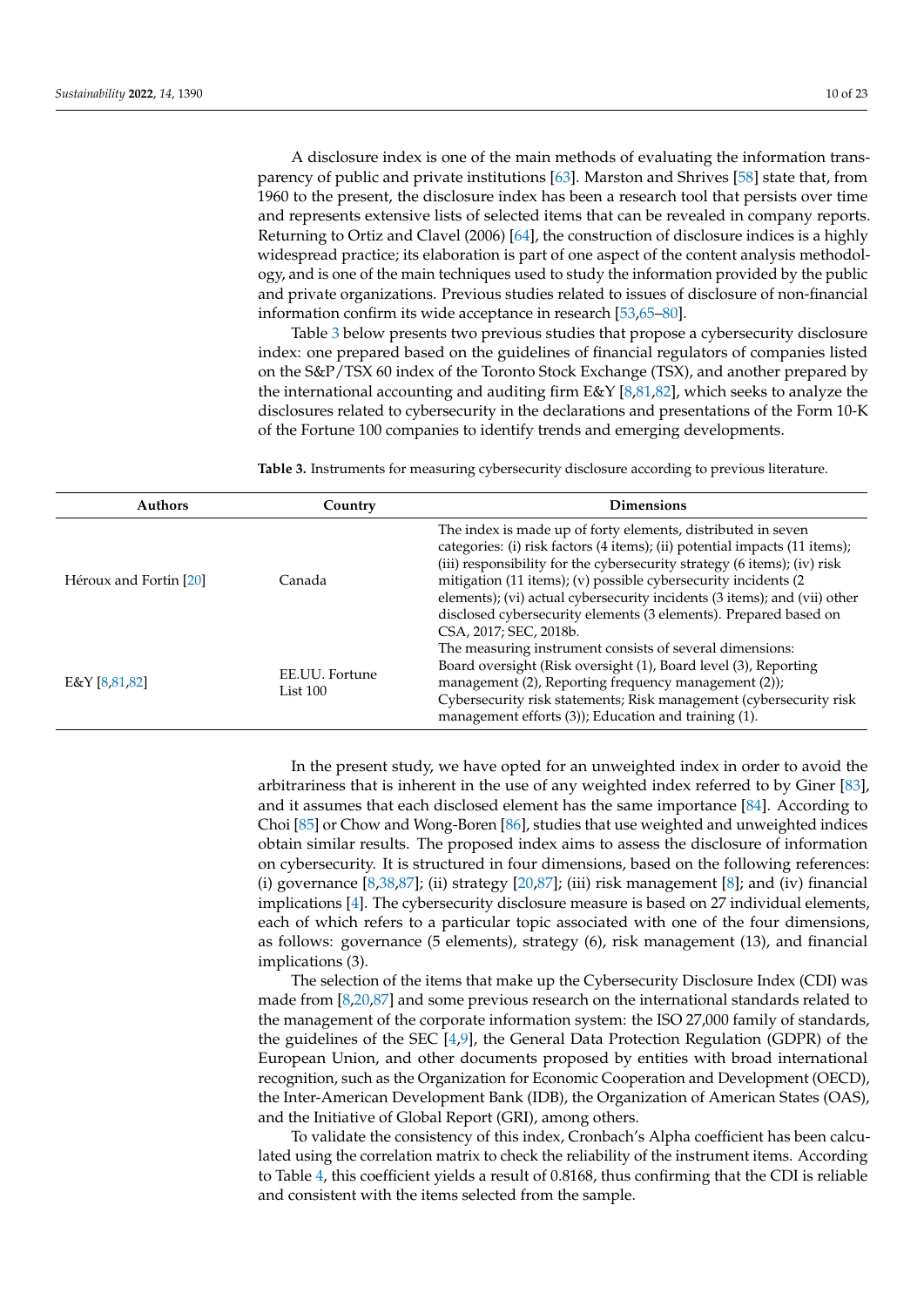A disclosure index is one of the main methods of evaluating the information transparency of public and private institutions [\[63\]](#page-20-18). Marston and Shrives [\[58\]](#page-20-14) state that, from 1960 to the present, the disclosure index has been a research tool that persists over time and represents extensive lists of selected items that can be revealed in company reports. Returning to Ortiz and Clavel (2006) [\[64\]](#page-20-19), the construction of disclosure indices is a highly widespread practice; its elaboration is part of one aspect of the content analysis methodology, and is one of the main techniques used to study the information provided by the public and private organizations. Previous studies related to issues of disclosure of non-financial information confirm its wide acceptance in research [\[53,](#page-20-11)[65–](#page-20-20)[80\]](#page-21-0).

Table [3](#page-9-0) below presents two previous studies that propose a cybersecurity disclosure index: one prepared based on the guidelines of financial regulators of companies listed on the S&P/TSX 60 index of the Toronto Stock Exchange (TSX), and another prepared by the international accounting and auditing firm E&Y [\[8](#page-18-7)[,81](#page-21-1)[,82\]](#page-21-2), which seeks to analyze the disclosures related to cybersecurity in the declarations and presentations of the Form 10-K of the Fortune 100 companies to identify trends and emerging developments.

<span id="page-9-0"></span>**Table 3.** Instruments for measuring cybersecurity disclosure according to previous literature.

| <b>Authors</b>         | Country                      | <b>Dimensions</b>                                                                                                                                                                                                                                                                                                                                                                                                                                                   |
|------------------------|------------------------------|---------------------------------------------------------------------------------------------------------------------------------------------------------------------------------------------------------------------------------------------------------------------------------------------------------------------------------------------------------------------------------------------------------------------------------------------------------------------|
| Héroux and Fortin [20] | Canada                       | The index is made up of forty elements, distributed in seven<br>categories: (i) risk factors (4 items); (ii) potential impacts (11 items);<br>(iii) responsibility for the cybersecurity strategy (6 items); (iv) risk<br>mitigation (11 items); (v) possible cybersecurity incidents (2<br>elements); (vi) actual cybersecurity incidents (3 items); and (vii) other<br>disclosed cybersecurity elements (3 elements). Prepared based on<br>CSA, 2017; SEC, 2018b. |
| E&Y[8,81,82]           | EE.UU. Fortune<br>List $100$ | The measuring instrument consists of several dimensions:<br>Board oversight (Risk oversight (1), Board level (3), Reporting<br>management (2), Reporting frequency management (2));<br>Cybersecurity risk statements; Risk management (cybersecurity risk<br>management efforts (3)); Education and training (1).                                                                                                                                                   |

In the present study, we have opted for an unweighted index in order to avoid the arbitrariness that is inherent in the use of any weighted index referred to by Giner [\[83\]](#page-21-3), and it assumes that each disclosed element has the same importance [\[84\]](#page-21-4). According to Choi [\[85\]](#page-21-5) or Chow and Wong-Boren [\[86\]](#page-21-6), studies that use weighted and unweighted indices obtain similar results. The proposed index aims to assess the disclosure of information on cybersecurity. It is structured in four dimensions, based on the following references: (i) governance  $[8,38,87]$  $[8,38,87]$  $[8,38,87]$ ; (ii) strategy  $[20,87]$  $[20,87]$ ; (iii) risk management  $[8]$ ; and (iv) financial implications [\[4\]](#page-18-3). The cybersecurity disclosure measure is based on 27 individual elements, each of which refers to a particular topic associated with one of the four dimensions, as follows: governance (5 elements), strategy (6), risk management (13), and financial implications (3).

The selection of the items that make up the Cybersecurity Disclosure Index (CDI) was made from [\[8,](#page-18-7)[20,](#page-19-1)[87\]](#page-21-7) and some previous research on the international standards related to the management of the corporate information system: the ISO 27,000 family of standards, the guidelines of the SEC [\[4](#page-18-3)[,9\]](#page-18-8), the General Data Protection Regulation (GDPR) of the European Union, and other documents proposed by entities with broad international recognition, such as the Organization for Economic Cooperation and Development (OECD), the Inter-American Development Bank (IDB), the Organization of American States (OAS), and the Initiative of Global Report (GRI), among others.

To validate the consistency of this index, Cronbach's Alpha coefficient has been calculated using the correlation matrix to check the reliability of the instrument items. According to Table [4,](#page-10-0) this coefficient yields a result of 0.8168, thus confirming that the CDI is reliable and consistent with the items selected from the sample.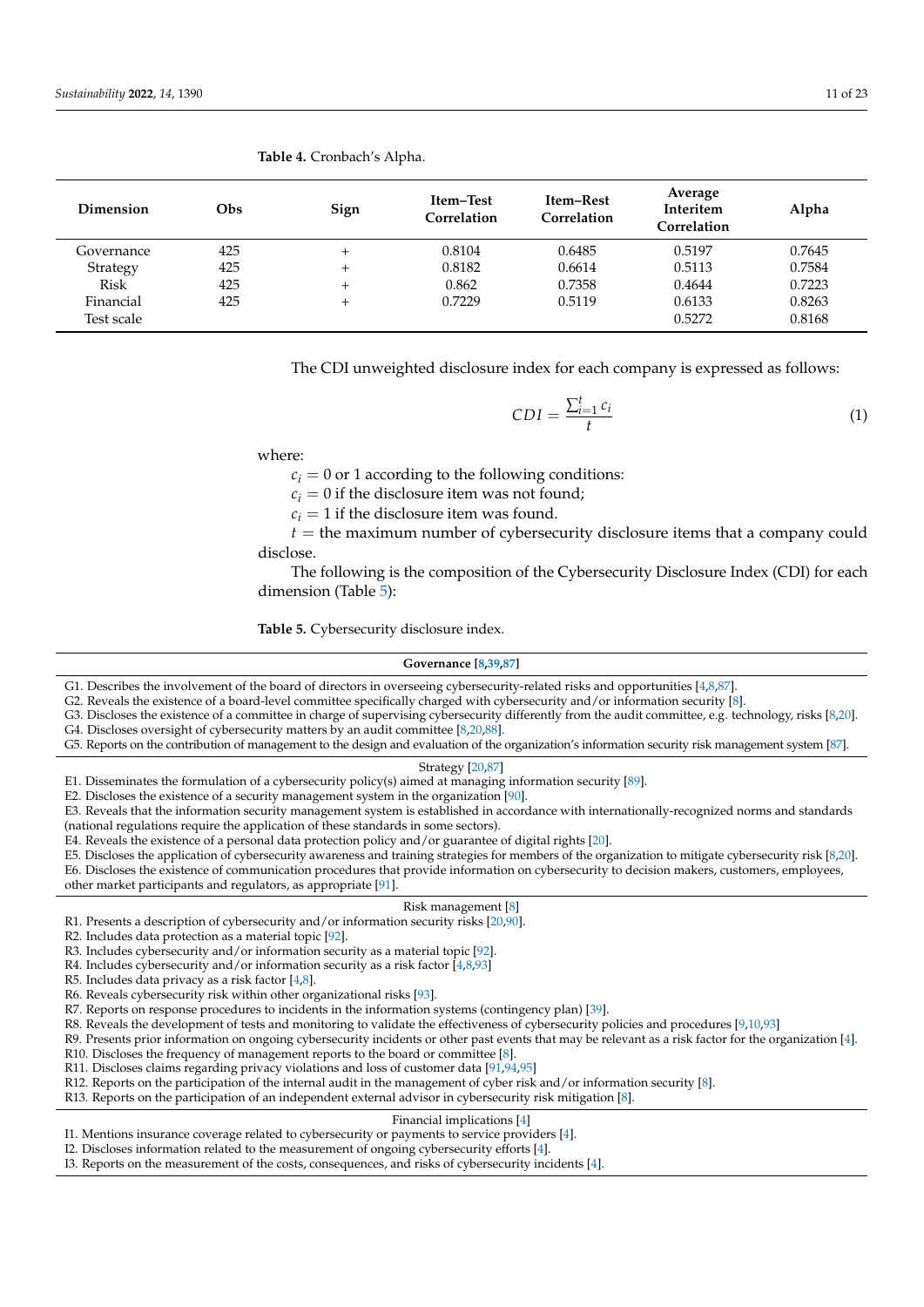| Dimension   | Obs | Sign   | <b>Item-Test</b><br>Correlation | Item–Rest<br>Correlation | Average<br>Interitem<br>Correlation | Alpha  |
|-------------|-----|--------|---------------------------------|--------------------------|-------------------------------------|--------|
| Governance  | 425 | $^{+}$ | 0.8104                          | 0.6485                   | 0.5197                              | 0.7645 |
| Strategy    | 425 | $^{+}$ | 0.8182                          | 0.6614                   | 0.5113                              | 0.7584 |
| <b>Risk</b> | 425 | $^{+}$ | 0.862                           | 0.7358                   | 0.4644                              | 0.7223 |
| Financial   | 425 | $^{+}$ | 0.7229                          | 0.5119                   | 0.6133                              | 0.8263 |
| Test scale  |     |        |                                 |                          | 0.5272                              | 0.8168 |

#### <span id="page-10-0"></span>**Table 4.** Cronbach's Alpha.

The CDI unweighted disclosure index for each company is expressed as follows:

$$
CDI = \frac{\sum_{i=1}^{t} c_i}{t} \tag{1}
$$

where:

 $c_i = 0$  or 1 according to the following conditions:

 $c_i = 0$  if the disclosure item was not found;

 $c_i = 1$  if the disclosure item was found.

 $t =$  the maximum number of cybersecurity disclosure items that a company could disclose.

The following is the composition of the Cybersecurity Disclosure Index (CDI) for each dimension (Table [5\)](#page-10-1):

<span id="page-10-1"></span>**Table 5.** Cybersecurity disclosure index.

#### **Governance [\[8](#page-18-7)[,39](#page-19-21)[,87\]](#page-21-7)**

G1. Describes the involvement of the board of directors in overseeing cybersecurity-related risks and opportunities [\[4,](#page-18-3)[8,](#page-18-7)[87\]](#page-21-7).

G2. Reveals the existence of a board-level committee specifically charged with cybersecurity and/or information security [\[8\]](#page-18-7).

- G3. Discloses the existence of a committee in charge of supervising cybersecurity differently from the audit committee, e.g. technology, risks [\[8](#page-18-7)[,20\]](#page-19-1).
- G4. Discloses oversight of cybersecurity matters by an audit committee [\[8,](#page-18-7)[20,](#page-19-1)[88\]](#page-21-8).
- G5. Reports on the contribution of management to the design and evaluation of the organization's information security risk management system [\[87\]](#page-21-7).

#### Strategy [\[20,](#page-19-1)[87\]](#page-21-7)

E1. Disseminates the formulation of a cybersecurity policy(s) aimed at managing information security [\[89\]](#page-21-9).

E2. Discloses the existence of a security management system in the organization [\[90\]](#page-21-10).

E3. Reveals that the information security management system is established in accordance with internationally-recognized norms and standards (national regulations require the application of these standards in some sectors).

E4. Reveals the existence of a personal data protection policy and/or guarantee of digital rights [\[20\]](#page-19-1).

E5. Discloses the application of cybersecurity awareness and training strategies for members of the organization to mitigate cybersecurity risk [\[8](#page-18-7)[,20\]](#page-19-1).

E6. Discloses the existence of communication procedures that provide information on cybersecurity to decision makers, customers, employees, other market participants and regulators, as appropriate [\[91\]](#page-21-11).

## Risk management [\[8\]](#page-18-7)

R1. Presents a description of cybersecurity and/or information security risks [\[20](#page-19-1)[,90\]](#page-21-10).

R2. Includes data protection as a material topic [\[92\]](#page-21-12).

R3. Includes cybersecurity and/or information security as a material topic [\[92\]](#page-21-12).

R4. Includes cybersecurity and/or information security as a risk factor [\[4](#page-18-3)[,8](#page-18-7)[,93\]](#page-21-13)

R5. Includes data privacy as a risk factor [\[4](#page-18-3)[,8\]](#page-18-7).

R6. Reveals cybersecurity risk within other organizational risks [\[93\]](#page-21-13).

R7. Reports on response procedures to incidents in the information systems (contingency plan) [\[39\]](#page-19-21).

R8. Reveals the development of tests and monitoring to validate the effectiveness of cybersecurity policies and procedures [\[9](#page-18-8)[,10](#page-18-9)[,93\]](#page-21-13)

R9. Presents prior information on ongoing cybersecurity incidents or other past events that may be relevant as a risk factor for the organization [\[4\]](#page-18-3).

R10. Discloses the frequency of management reports to the board or committee [\[8\]](#page-18-7).

R11. Discloses claims regarding privacy violations and loss of customer data [\[91](#page-21-11)[,94](#page-21-14)[,95\]](#page-21-15)

R12. Reports on the participation of the internal audit in the management of cyber risk and/or information security [\[8\]](#page-18-7).

R13. Reports on the participation of an independent external advisor in cybersecurity risk mitigation [\[8\]](#page-18-7).

Financial implications [\[4\]](#page-18-3)

I1. Mentions insurance coverage related to cybersecurity or payments to service providers [\[4\]](#page-18-3). I2. Discloses information related to the measurement of ongoing cybersecurity efforts [\[4\]](#page-18-3).

I3. Reports on the measurement of the costs, consequences, and risks of cybersecurity incidents [\[4\]](#page-18-3).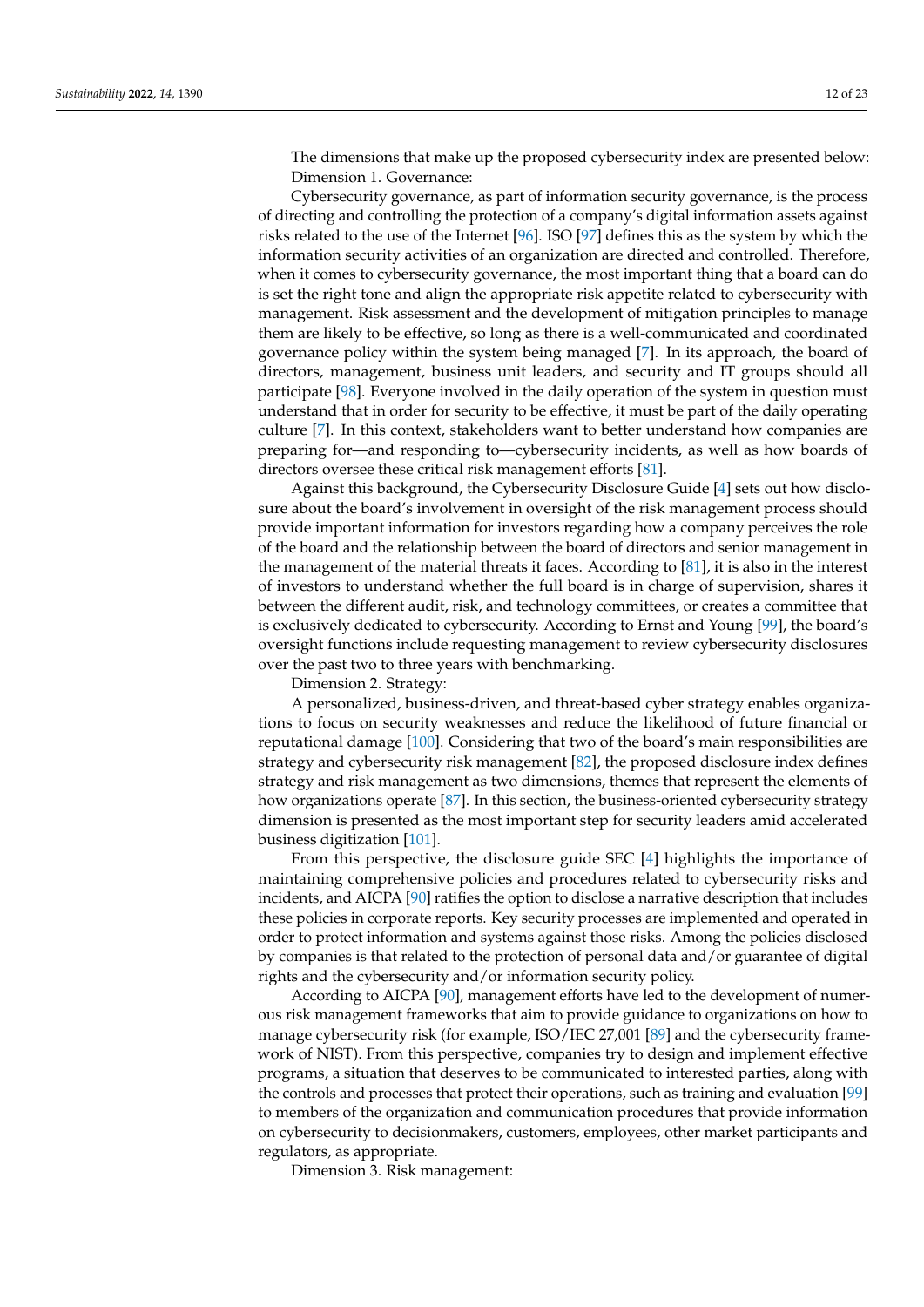The dimensions that make up the proposed cybersecurity index are presented below: Dimension 1. Governance:

Cybersecurity governance, as part of information security governance, is the process of directing and controlling the protection of a company's digital information assets against risks related to the use of the Internet [\[96\]](#page-21-16). ISO [\[97\]](#page-21-17) defines this as the system by which the information security activities of an organization are directed and controlled. Therefore, when it comes to cybersecurity governance, the most important thing that a board can do is set the right tone and align the appropriate risk appetite related to cybersecurity with management. Risk assessment and the development of mitigation principles to manage them are likely to be effective, so long as there is a well-communicated and coordinated governance policy within the system being managed [\[7\]](#page-18-6). In its approach, the board of directors, management, business unit leaders, and security and IT groups should all participate [\[98\]](#page-21-18). Everyone involved in the daily operation of the system in question must understand that in order for security to be effective, it must be part of the daily operating culture [\[7\]](#page-18-6). In this context, stakeholders want to better understand how companies are preparing for—and responding to—cybersecurity incidents, as well as how boards of directors oversee these critical risk management efforts [\[81\]](#page-21-1).

Against this background, the Cybersecurity Disclosure Guide [\[4\]](#page-18-3) sets out how disclosure about the board's involvement in oversight of the risk management process should provide important information for investors regarding how a company perceives the role of the board and the relationship between the board of directors and senior management in the management of the material threats it faces. According to [\[81\]](#page-21-1), it is also in the interest of investors to understand whether the full board is in charge of supervision, shares it between the different audit, risk, and technology committees, or creates a committee that is exclusively dedicated to cybersecurity. According to Ernst and Young [\[99\]](#page-21-19), the board's oversight functions include requesting management to review cybersecurity disclosures over the past two to three years with benchmarking.

Dimension 2. Strategy:

A personalized, business-driven, and threat-based cyber strategy enables organizations to focus on security weaknesses and reduce the likelihood of future financial or reputational damage [\[100\]](#page-21-20). Considering that two of the board's main responsibilities are strategy and cybersecurity risk management [\[82\]](#page-21-2), the proposed disclosure index defines strategy and risk management as two dimensions, themes that represent the elements of how organizations operate [\[87\]](#page-21-7). In this section, the business-oriented cybersecurity strategy dimension is presented as the most important step for security leaders amid accelerated business digitization [\[101\]](#page-21-21).

From this perspective, the disclosure guide SEC [\[4\]](#page-18-3) highlights the importance of maintaining comprehensive policies and procedures related to cybersecurity risks and incidents, and AICPA [\[90\]](#page-21-10) ratifies the option to disclose a narrative description that includes these policies in corporate reports. Key security processes are implemented and operated in order to protect information and systems against those risks. Among the policies disclosed by companies is that related to the protection of personal data and/or guarantee of digital rights and the cybersecurity and/or information security policy.

According to AICPA [\[90\]](#page-21-10), management efforts have led to the development of numerous risk management frameworks that aim to provide guidance to organizations on how to manage cybersecurity risk (for example, ISO/IEC 27,001 [\[89\]](#page-21-9) and the cybersecurity framework of NIST). From this perspective, companies try to design and implement effective programs, a situation that deserves to be communicated to interested parties, along with the controls and processes that protect their operations, such as training and evaluation [\[99\]](#page-21-19) to members of the organization and communication procedures that provide information on cybersecurity to decisionmakers, customers, employees, other market participants and regulators, as appropriate.

Dimension 3. Risk management: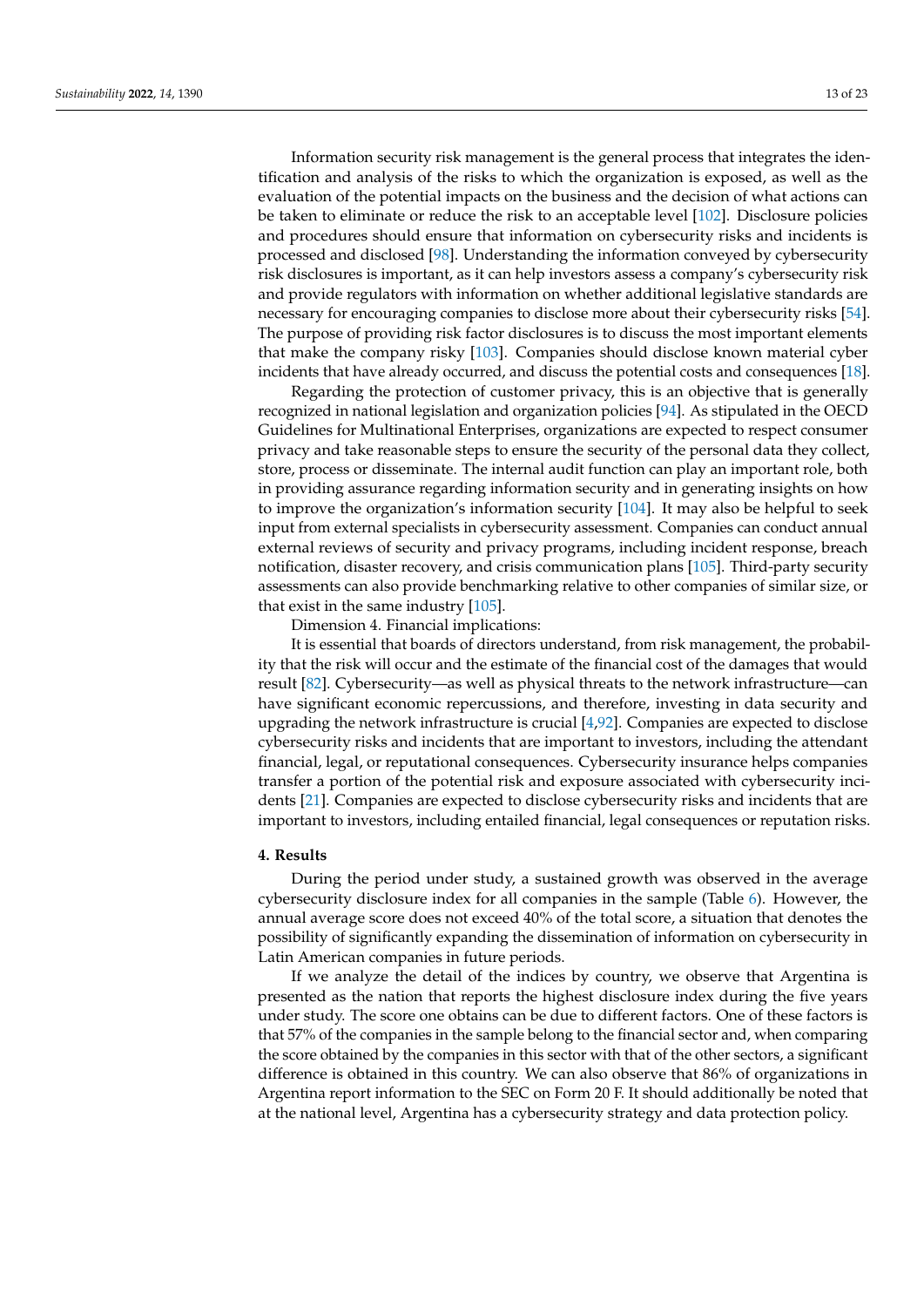Information security risk management is the general process that integrates the identification and analysis of the risks to which the organization is exposed, as well as the evaluation of the potential impacts on the business and the decision of what actions can be taken to eliminate or reduce the risk to an acceptable level [\[102\]](#page-22-0). Disclosure policies and procedures should ensure that information on cybersecurity risks and incidents is processed and disclosed [\[98\]](#page-21-18). Understanding the information conveyed by cybersecurity risk disclosures is important, as it can help investors assess a company's cybersecurity risk and provide regulators with information on whether additional legislative standards are necessary for encouraging companies to disclose more about their cybersecurity risks [\[54\]](#page-20-12). The purpose of providing risk factor disclosures is to discuss the most important elements that make the company risky [\[103\]](#page-22-1). Companies should disclose known material cyber incidents that have already occurred, and discuss the potential costs and consequences [\[18\]](#page-19-4).

Regarding the protection of customer privacy, this is an objective that is generally recognized in national legislation and organization policies [\[94\]](#page-21-14). As stipulated in the OECD Guidelines for Multinational Enterprises, organizations are expected to respect consumer privacy and take reasonable steps to ensure the security of the personal data they collect, store, process or disseminate. The internal audit function can play an important role, both in providing assurance regarding information security and in generating insights on how to improve the organization's information security [\[104\]](#page-22-2). It may also be helpful to seek input from external specialists in cybersecurity assessment. Companies can conduct annual external reviews of security and privacy programs, including incident response, breach notification, disaster recovery, and crisis communication plans [\[105\]](#page-22-3). Third-party security assessments can also provide benchmarking relative to other companies of similar size, or that exist in the same industry  $[105]$ .

Dimension 4. Financial implications:

It is essential that boards of directors understand, from risk management, the probability that the risk will occur and the estimate of the financial cost of the damages that would result [\[82\]](#page-21-2). Cybersecurity—as well as physical threats to the network infrastructure—can have significant economic repercussions, and therefore, investing in data security and upgrading the network infrastructure is crucial [\[4](#page-18-3)[,92\]](#page-21-12). Companies are expected to disclose cybersecurity risks and incidents that are important to investors, including the attendant financial, legal, or reputational consequences. Cybersecurity insurance helps companies transfer a portion of the potential risk and exposure associated with cybersecurity incidents [\[21\]](#page-19-2). Companies are expected to disclose cybersecurity risks and incidents that are important to investors, including entailed financial, legal consequences or reputation risks.

## **4. Results**

During the period under study, a sustained growth was observed in the average cybersecurity disclosure index for all companies in the sample (Table [6\)](#page-13-0). However, the annual average score does not exceed 40% of the total score, a situation that denotes the possibility of significantly expanding the dissemination of information on cybersecurity in Latin American companies in future periods.

If we analyze the detail of the indices by country, we observe that Argentina is presented as the nation that reports the highest disclosure index during the five years under study. The score one obtains can be due to different factors. One of these factors is that 57% of the companies in the sample belong to the financial sector and, when comparing the score obtained by the companies in this sector with that of the other sectors, a significant difference is obtained in this country. We can also observe that 86% of organizations in Argentina report information to the SEC on Form 20 F. It should additionally be noted that at the national level, Argentina has a cybersecurity strategy and data protection policy.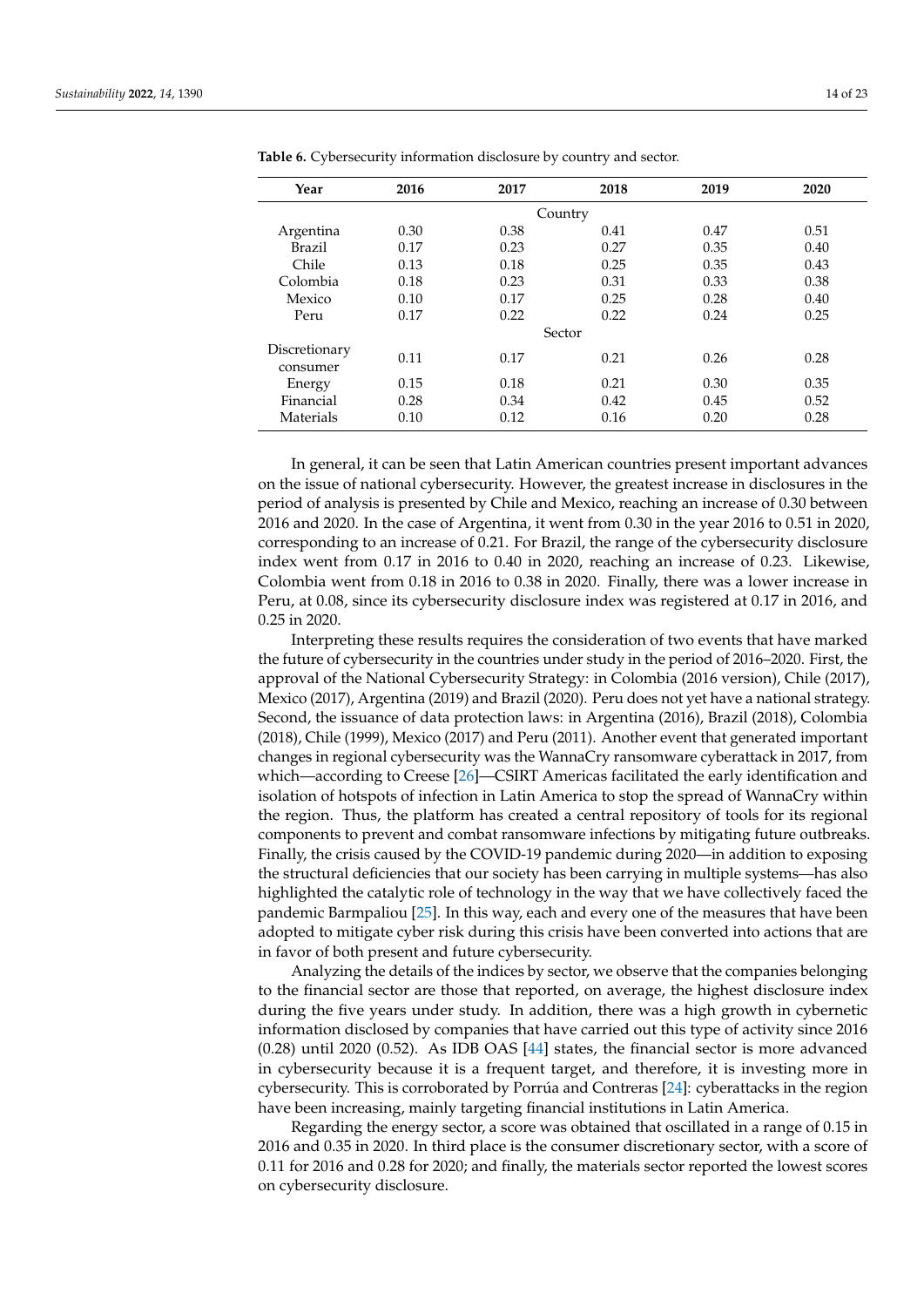| Year                      | 2016 | 2017 | 2018 | 2019 | 2020 |  |  |
|---------------------------|------|------|------|------|------|--|--|
| Country                   |      |      |      |      |      |  |  |
| Argentina                 | 0.30 | 0.38 | 0.41 | 0.47 | 0.51 |  |  |
| <b>Brazil</b>             | 0.17 | 0.23 | 0.27 | 0.35 | 0.40 |  |  |
| Chile                     | 0.13 | 0.18 | 0.25 | 0.35 | 0.43 |  |  |
| Colombia                  | 0.18 | 0.23 | 0.31 | 0.33 | 0.38 |  |  |
| Mexico                    | 0.10 | 0.17 | 0.25 | 0.28 | 0.40 |  |  |
| Peru                      | 0.17 | 0.22 | 0.22 | 0.24 | 0.25 |  |  |
| Sector                    |      |      |      |      |      |  |  |
| Discretionary<br>consumer | 0.11 | 0.17 | 0.21 | 0.26 | 0.28 |  |  |
| Energy                    | 0.15 | 0.18 | 0.21 | 0.30 | 0.35 |  |  |
| Financial                 | 0.28 | 0.34 | 0.42 | 0.45 | 0.52 |  |  |
| Materials                 | 0.10 | 0.12 | 0.16 | 0.20 | 0.28 |  |  |

<span id="page-13-0"></span>**Table 6.** Cybersecurity information disclosure by country and sector.

In general, it can be seen that Latin American countries present important advances on the issue of national cybersecurity. However, the greatest increase in disclosures in the period of analysis is presented by Chile and Mexico, reaching an increase of 0.30 between 2016 and 2020. In the case of Argentina, it went from 0.30 in the year 2016 to 0.51 in 2020, corresponding to an increase of 0.21. For Brazil, the range of the cybersecurity disclosure index went from 0.17 in 2016 to 0.40 in 2020, reaching an increase of 0.23. Likewise, Colombia went from 0.18 in 2016 to 0.38 in 2020. Finally, there was a lower increase in Peru, at 0.08, since its cybersecurity disclosure index was registered at 0.17 in 2016, and 0.25 in 2020.

Interpreting these results requires the consideration of two events that have marked the future of cybersecurity in the countries under study in the period of 2016–2020. First, the approval of the National Cybersecurity Strategy: in Colombia (2016 version), Chile (2017), Mexico (2017), Argentina (2019) and Brazil (2020). Peru does not yet have a national strategy. Second, the issuance of data protection laws: in Argentina (2016), Brazil (2018), Colombia (2018), Chile (1999), Mexico (2017) and Peru (2011). Another event that generated important changes in regional cybersecurity was the WannaCry ransomware cyberattack in 2017, from which—according to Creese [\[26\]](#page-19-8)—CSIRT Americas facilitated the early identification and isolation of hotspots of infection in Latin America to stop the spread of WannaCry within the region. Thus, the platform has created a central repository of tools for its regional components to prevent and combat ransomware infections by mitigating future outbreaks. Finally, the crisis caused by the COVID-19 pandemic during 2020—in addition to exposing the structural deficiencies that our society has been carrying in multiple systems—has also highlighted the catalytic role of technology in the way that we have collectively faced the pandemic Barmpaliou [\[25\]](#page-19-7). In this way, each and every one of the measures that have been adopted to mitigate cyber risk during this crisis have been converted into actions that are in favor of both present and future cybersecurity.

Analyzing the details of the indices by sector, we observe that the companies belonging to the financial sector are those that reported, on average, the highest disclosure index during the five years under study. In addition, there was a high growth in cybernetic information disclosed by companies that have carried out this type of activity since 2016 (0.28) until 2020 (0.52). As IDB OAS [\[44\]](#page-20-0) states, the financial sector is more advanced in cybersecurity because it is a frequent target, and therefore, it is investing more in cybersecurity. This is corroborated by Porrúa and Contreras [\[24\]](#page-19-6): cyberattacks in the region have been increasing, mainly targeting financial institutions in Latin America.

Regarding the energy sector, a score was obtained that oscillated in a range of 0.15 in 2016 and 0.35 in 2020. In third place is the consumer discretionary sector, with a score of 0.11 for 2016 and 0.28 for 2020; and finally, the materials sector reported the lowest scores on cybersecurity disclosure.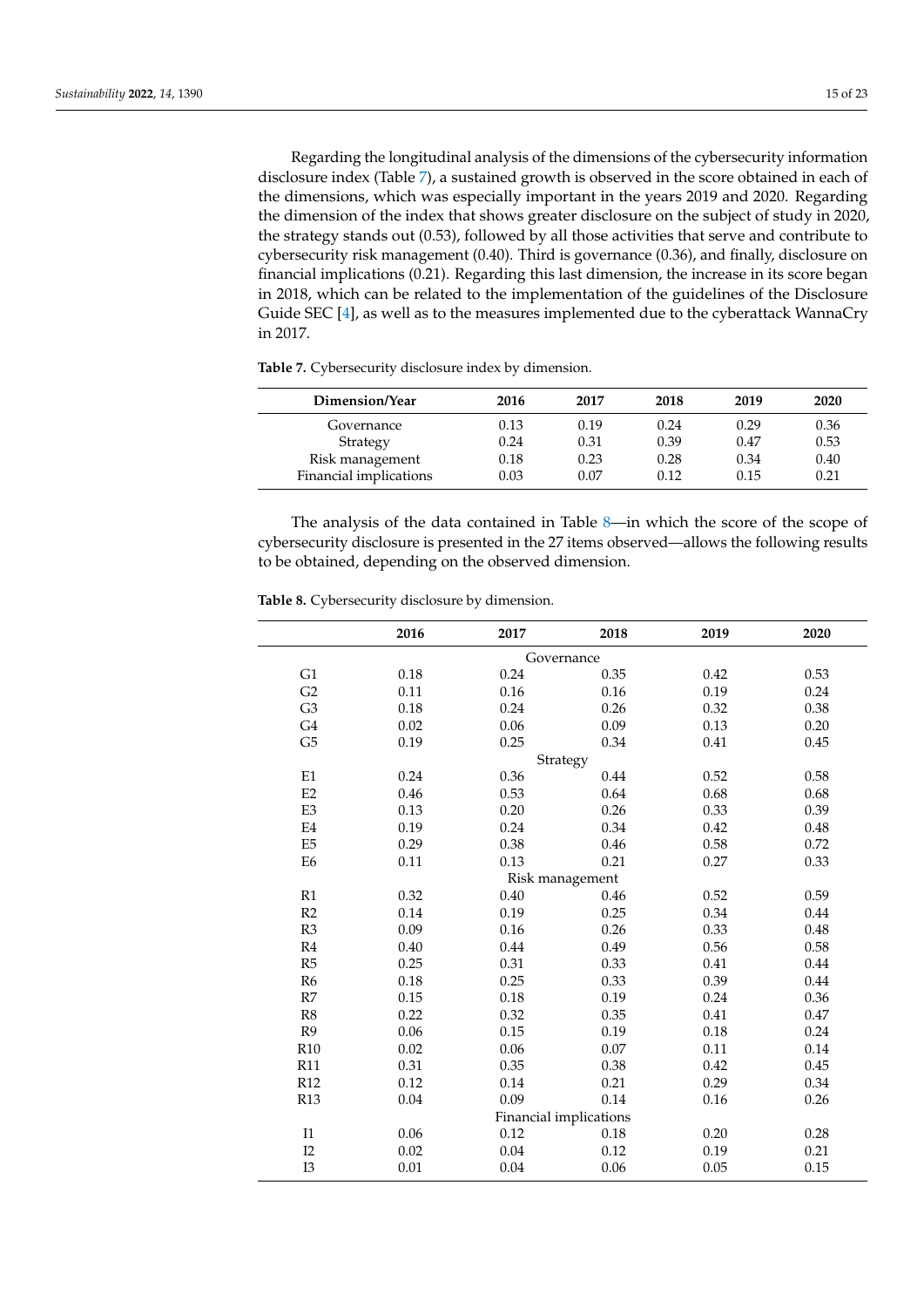Regarding the longitudinal analysis of the dimensions of the cybersecurity information disclosure index (Table [7\)](#page-14-0), a sustained growth is observed in the score obtained in each of the dimensions, which was especially important in the years 2019 and 2020. Regarding the dimension of the index that shows greater disclosure on the subject of study in 2020, the strategy stands out (0.53), followed by all those activities that serve and contribute to cybersecurity risk management (0.40). Third is governance (0.36), and finally, disclosure on financial implications (0.21). Regarding this last dimension, the increase in its score began in 2018, which can be related to the implementation of the guidelines of the Disclosure Guide SEC [\[4\]](#page-18-3), as well as to the measures implemented due to the cyberattack WannaCry in 2017.

<span id="page-14-0"></span>

| Dimension/Year         | 2016 | 2017 | 2018 | 2019 | 2020 |
|------------------------|------|------|------|------|------|
| Governance             | 0.13 | 0.19 | 0.24 | 0.29 | 0.36 |
| Strategy               | 0.24 | 0.31 | 0.39 | 0.47 | 0.53 |
| Risk management        | 0.18 | 0.23 | 0.28 | 0.34 | 0.40 |
| Financial implications | 0.03 | 0.07 | 0.12 | 0.15 | 0.21 |

The analysis of the data contained in Table [8—](#page-14-1)in which the score of the scope of cybersecurity disclosure is presented in the 27 items observed—allows the following results to be obtained, depending on the observed dimension.

|                        | 2016     | 2017     | 2018            | 2019 | 2020 |  |
|------------------------|----------|----------|-----------------|------|------|--|
| Governance             |          |          |                 |      |      |  |
| G1                     | 0.18     | 0.24     | 0.35            | 0.42 | 0.53 |  |
| G2                     | 0.11     | 0.16     | 0.16            | 0.19 | 0.24 |  |
| G <sub>3</sub>         | 0.18     | 0.24     | 0.26            | 0.32 | 0.38 |  |
| G4                     | 0.02     | 0.06     | 0.09            | 0.13 | 0.20 |  |
| G <sub>5</sub>         | 0.19     | 0.25     | 0.34            | 0.41 | 0.45 |  |
|                        |          |          | Strategy        |      |      |  |
| E1                     | 0.24     | 0.36     | 0.44            | 0.52 | 0.58 |  |
| E2                     | 0.46     | 0.53     | 0.64            | 0.68 | 0.68 |  |
| E3                     | 0.13     | 0.20     | 0.26            | 0.33 | 0.39 |  |
| E4                     | 0.19     | 0.24     | 0.34            | 0.42 | 0.48 |  |
| E <sub>5</sub>         | 0.29     | 0.38     | 0.46            | 0.58 | 0.72 |  |
| E <sub>6</sub>         | 0.11     | 0.13     | 0.21            | 0.27 | 0.33 |  |
|                        |          |          | Risk management |      |      |  |
| R1                     | 0.32     | $0.40\,$ | 0.46            | 0.52 | 0.59 |  |
| R2                     | 0.14     | 0.19     | 0.25            | 0.34 | 0.44 |  |
| R3                     | 0.09     | 0.16     | 0.26            | 0.33 | 0.48 |  |
| R <sub>4</sub>         | 0.40     | 0.44     | 0.49            | 0.56 | 0.58 |  |
| R5                     | 0.25     | 0.31     | 0.33            | 0.41 | 0.44 |  |
| R <sub>6</sub>         | 0.18     | 0.25     | 0.33            | 0.39 | 0.44 |  |
| R7                     | 0.15     | 0.18     | 0.19            | 0.24 | 0.36 |  |
| R8                     | 0.22     | 0.32     | 0.35            | 0.41 | 0.47 |  |
| R <sub>9</sub>         | 0.06     | 0.15     | 0.19            | 0.18 | 0.24 |  |
| R <sub>10</sub>        | 0.02     | 0.06     | 0.07            | 0.11 | 0.14 |  |
| <b>R11</b>             | 0.31     | 0.35     | 0.38            | 0.42 | 0.45 |  |
| R12                    | 0.12     | 0.14     | 0.21            | 0.29 | 0.34 |  |
| R13                    | $0.04\,$ | 0.09     | 0.14            | 0.16 | 0.26 |  |
| Financial implications |          |          |                 |      |      |  |
| I1                     | 0.06     | 0.12     | 0.18            | 0.20 | 0.28 |  |
| I2                     | 0.02     | 0.04     | 0.12            | 0.19 | 0.21 |  |
| I3                     | 0.01     | 0.04     | 0.06            | 0.05 | 0.15 |  |

<span id="page-14-1"></span>**Table 8.** Cybersecurity disclosure by dimension.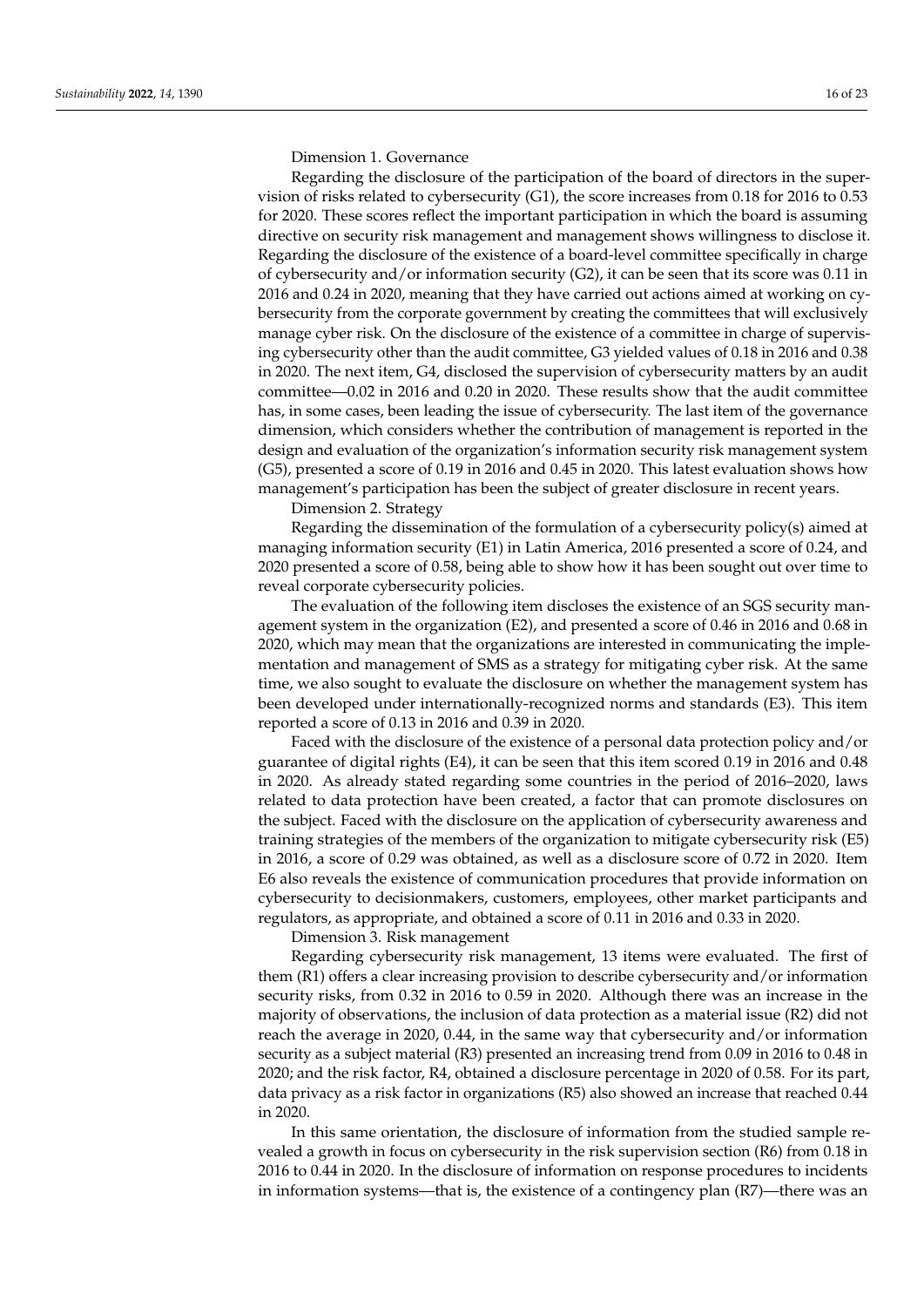Dimension 1. Governance

Regarding the disclosure of the participation of the board of directors in the supervision of risks related to cybersecurity (G1), the score increases from 0.18 for 2016 to 0.53 for 2020. These scores reflect the important participation in which the board is assuming directive on security risk management and management shows willingness to disclose it. Regarding the disclosure of the existence of a board-level committee specifically in charge of cybersecurity and/or information security (G2), it can be seen that its score was 0.11 in 2016 and 0.24 in 2020, meaning that they have carried out actions aimed at working on cybersecurity from the corporate government by creating the committees that will exclusively manage cyber risk. On the disclosure of the existence of a committee in charge of supervising cybersecurity other than the audit committee, G3 yielded values of 0.18 in 2016 and 0.38 in 2020. The next item, G4, disclosed the supervision of cybersecurity matters by an audit committee—0.02 in 2016 and 0.20 in 2020. These results show that the audit committee has, in some cases, been leading the issue of cybersecurity. The last item of the governance dimension, which considers whether the contribution of management is reported in the design and evaluation of the organization's information security risk management system (G5), presented a score of 0.19 in 2016 and 0.45 in 2020. This latest evaluation shows how management's participation has been the subject of greater disclosure in recent years.

Dimension 2. Strategy

Regarding the dissemination of the formulation of a cybersecurity policy(s) aimed at managing information security (E1) in Latin America, 2016 presented a score of 0.24, and 2020 presented a score of 0.58, being able to show how it has been sought out over time to reveal corporate cybersecurity policies.

The evaluation of the following item discloses the existence of an SGS security management system in the organization (E2), and presented a score of 0.46 in 2016 and 0.68 in 2020, which may mean that the organizations are interested in communicating the implementation and management of SMS as a strategy for mitigating cyber risk. At the same time, we also sought to evaluate the disclosure on whether the management system has been developed under internationally-recognized norms and standards (E3). This item reported a score of 0.13 in 2016 and 0.39 in 2020.

Faced with the disclosure of the existence of a personal data protection policy and/or guarantee of digital rights (E4), it can be seen that this item scored 0.19 in 2016 and 0.48 in 2020. As already stated regarding some countries in the period of 2016–2020, laws related to data protection have been created, a factor that can promote disclosures on the subject. Faced with the disclosure on the application of cybersecurity awareness and training strategies of the members of the organization to mitigate cybersecurity risk (E5) in 2016, a score of 0.29 was obtained, as well as a disclosure score of 0.72 in 2020. Item E6 also reveals the existence of communication procedures that provide information on cybersecurity to decisionmakers, customers, employees, other market participants and regulators, as appropriate, and obtained a score of 0.11 in 2016 and 0.33 in 2020.

Dimension 3. Risk management

Regarding cybersecurity risk management, 13 items were evaluated. The first of them (R1) offers a clear increasing provision to describe cybersecurity and/or information security risks, from 0.32 in 2016 to 0.59 in 2020. Although there was an increase in the majority of observations, the inclusion of data protection as a material issue (R2) did not reach the average in 2020, 0.44, in the same way that cybersecurity and/or information security as a subject material (R3) presented an increasing trend from 0.09 in 2016 to 0.48 in 2020; and the risk factor, R4, obtained a disclosure percentage in 2020 of 0.58. For its part, data privacy as a risk factor in organizations (R5) also showed an increase that reached 0.44 in 2020.

In this same orientation, the disclosure of information from the studied sample revealed a growth in focus on cybersecurity in the risk supervision section (R6) from 0.18 in 2016 to 0.44 in 2020. In the disclosure of information on response procedures to incidents in information systems—that is, the existence of a contingency plan (R7)—there was an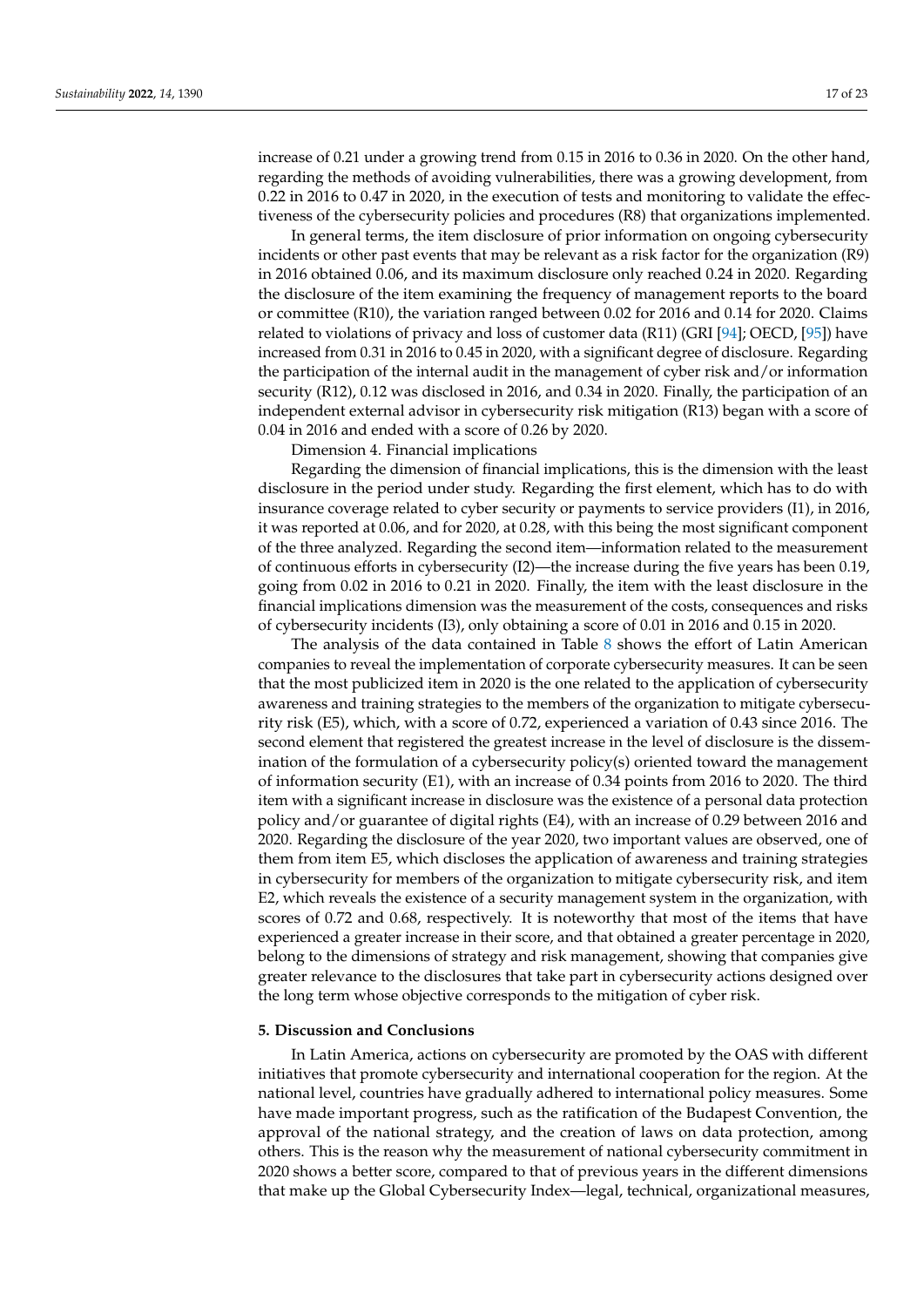increase of 0.21 under a growing trend from 0.15 in 2016 to 0.36 in 2020. On the other hand, regarding the methods of avoiding vulnerabilities, there was a growing development, from 0.22 in 2016 to 0.47 in 2020, in the execution of tests and monitoring to validate the effectiveness of the cybersecurity policies and procedures (R8) that organizations implemented.

In general terms, the item disclosure of prior information on ongoing cybersecurity incidents or other past events that may be relevant as a risk factor for the organization (R9) in 2016 obtained 0.06, and its maximum disclosure only reached 0.24 in 2020. Regarding the disclosure of the item examining the frequency of management reports to the board or committee (R10), the variation ranged between 0.02 for 2016 and 0.14 for 2020. Claims related to violations of privacy and loss of customer data (R11) (GRI [\[94\]](#page-21-14); OECD, [\[95\]](#page-21-15)) have increased from 0.31 in 2016 to 0.45 in 2020, with a significant degree of disclosure. Regarding the participation of the internal audit in the management of cyber risk and/or information security (R12), 0.12 was disclosed in 2016, and 0.34 in 2020. Finally, the participation of an independent external advisor in cybersecurity risk mitigation (R13) began with a score of 0.04 in 2016 and ended with a score of 0.26 by 2020.

Dimension 4. Financial implications

Regarding the dimension of financial implications, this is the dimension with the least disclosure in the period under study. Regarding the first element, which has to do with insurance coverage related to cyber security or payments to service providers (I1), in 2016, it was reported at 0.06, and for 2020, at 0.28, with this being the most significant component of the three analyzed. Regarding the second item—information related to the measurement of continuous efforts in cybersecurity (I2)—the increase during the five years has been 0.19, going from 0.02 in 2016 to 0.21 in 2020. Finally, the item with the least disclosure in the financial implications dimension was the measurement of the costs, consequences and risks of cybersecurity incidents (I3), only obtaining a score of 0.01 in 2016 and 0.15 in 2020.

The analysis of the data contained in Table [8](#page-14-1) shows the effort of Latin American companies to reveal the implementation of corporate cybersecurity measures. It can be seen that the most publicized item in 2020 is the one related to the application of cybersecurity awareness and training strategies to the members of the organization to mitigate cybersecurity risk (E5), which, with a score of 0.72, experienced a variation of 0.43 since 2016. The second element that registered the greatest increase in the level of disclosure is the dissemination of the formulation of a cybersecurity policy(s) oriented toward the management of information security (E1), with an increase of 0.34 points from 2016 to 2020. The third item with a significant increase in disclosure was the existence of a personal data protection policy and/or guarantee of digital rights (E4), with an increase of 0.29 between 2016 and 2020. Regarding the disclosure of the year 2020, two important values are observed, one of them from item E5, which discloses the application of awareness and training strategies in cybersecurity for members of the organization to mitigate cybersecurity risk, and item E2, which reveals the existence of a security management system in the organization, with scores of 0.72 and 0.68, respectively. It is noteworthy that most of the items that have experienced a greater increase in their score, and that obtained a greater percentage in 2020, belong to the dimensions of strategy and risk management, showing that companies give greater relevance to the disclosures that take part in cybersecurity actions designed over the long term whose objective corresponds to the mitigation of cyber risk.

#### **5. Discussion and Conclusions**

In Latin America, actions on cybersecurity are promoted by the OAS with different initiatives that promote cybersecurity and international cooperation for the region. At the national level, countries have gradually adhered to international policy measures. Some have made important progress, such as the ratification of the Budapest Convention, the approval of the national strategy, and the creation of laws on data protection, among others. This is the reason why the measurement of national cybersecurity commitment in 2020 shows a better score, compared to that of previous years in the different dimensions that make up the Global Cybersecurity Index—legal, technical, organizational measures,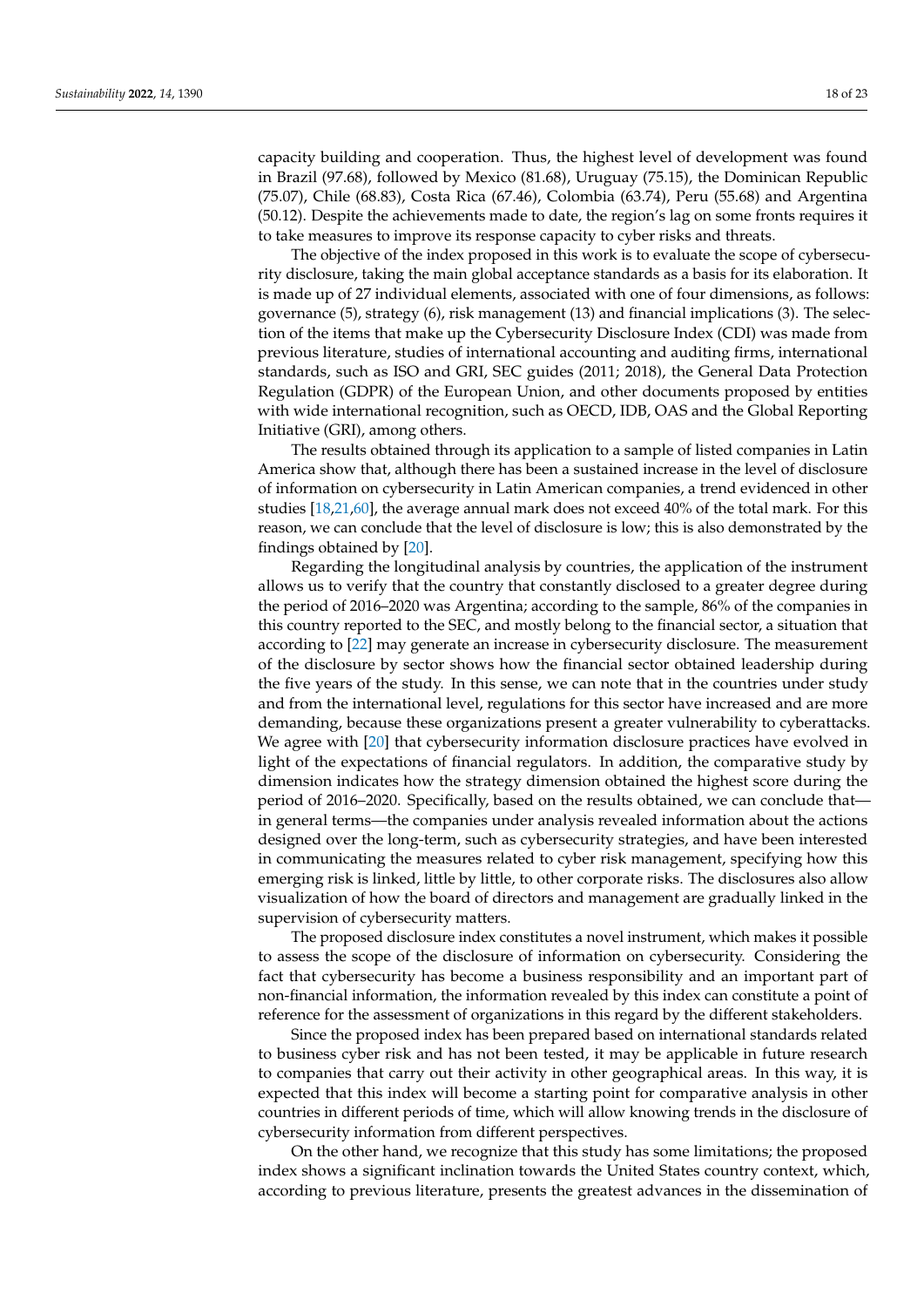capacity building and cooperation. Thus, the highest level of development was found in Brazil (97.68), followed by Mexico (81.68), Uruguay (75.15), the Dominican Republic (75.07), Chile (68.83), Costa Rica (67.46), Colombia (63.74), Peru (55.68) and Argentina (50.12). Despite the achievements made to date, the region's lag on some fronts requires it to take measures to improve its response capacity to cyber risks and threats.

The objective of the index proposed in this work is to evaluate the scope of cybersecurity disclosure, taking the main global acceptance standards as a basis for its elaboration. It is made up of 27 individual elements, associated with one of four dimensions, as follows: governance (5), strategy (6), risk management (13) and financial implications (3). The selection of the items that make up the Cybersecurity Disclosure Index (CDI) was made from previous literature, studies of international accounting and auditing firms, international standards, such as ISO and GRI, SEC guides (2011; 2018), the General Data Protection Regulation (GDPR) of the European Union, and other documents proposed by entities with wide international recognition, such as OECD, IDB, OAS and the Global Reporting Initiative (GRI), among others.

The results obtained through its application to a sample of listed companies in Latin America show that, although there has been a sustained increase in the level of disclosure of information on cybersecurity in Latin American companies, a trend evidenced in other studies [\[18,](#page-19-4)[21](#page-19-2)[,60\]](#page-20-16), the average annual mark does not exceed 40% of the total mark. For this reason, we can conclude that the level of disclosure is low; this is also demonstrated by the findings obtained by [\[20\]](#page-19-1).

Regarding the longitudinal analysis by countries, the application of the instrument allows us to verify that the country that constantly disclosed to a greater degree during the period of 2016–2020 was Argentina; according to the sample, 86% of the companies in this country reported to the SEC, and mostly belong to the financial sector, a situation that according to [\[22\]](#page-19-3) may generate an increase in cybersecurity disclosure. The measurement of the disclosure by sector shows how the financial sector obtained leadership during the five years of the study. In this sense, we can note that in the countries under study and from the international level, regulations for this sector have increased and are more demanding, because these organizations present a greater vulnerability to cyberattacks. We agree with [\[20\]](#page-19-1) that cybersecurity information disclosure practices have evolved in light of the expectations of financial regulators. In addition, the comparative study by dimension indicates how the strategy dimension obtained the highest score during the period of 2016–2020. Specifically, based on the results obtained, we can conclude that in general terms—the companies under analysis revealed information about the actions designed over the long-term, such as cybersecurity strategies, and have been interested in communicating the measures related to cyber risk management, specifying how this emerging risk is linked, little by little, to other corporate risks. The disclosures also allow visualization of how the board of directors and management are gradually linked in the supervision of cybersecurity matters.

The proposed disclosure index constitutes a novel instrument, which makes it possible to assess the scope of the disclosure of information on cybersecurity. Considering the fact that cybersecurity has become a business responsibility and an important part of non-financial information, the information revealed by this index can constitute a point of reference for the assessment of organizations in this regard by the different stakeholders.

Since the proposed index has been prepared based on international standards related to business cyber risk and has not been tested, it may be applicable in future research to companies that carry out their activity in other geographical areas. In this way, it is expected that this index will become a starting point for comparative analysis in other countries in different periods of time, which will allow knowing trends in the disclosure of cybersecurity information from different perspectives.

On the other hand, we recognize that this study has some limitations; the proposed index shows a significant inclination towards the United States country context, which, according to previous literature, presents the greatest advances in the dissemination of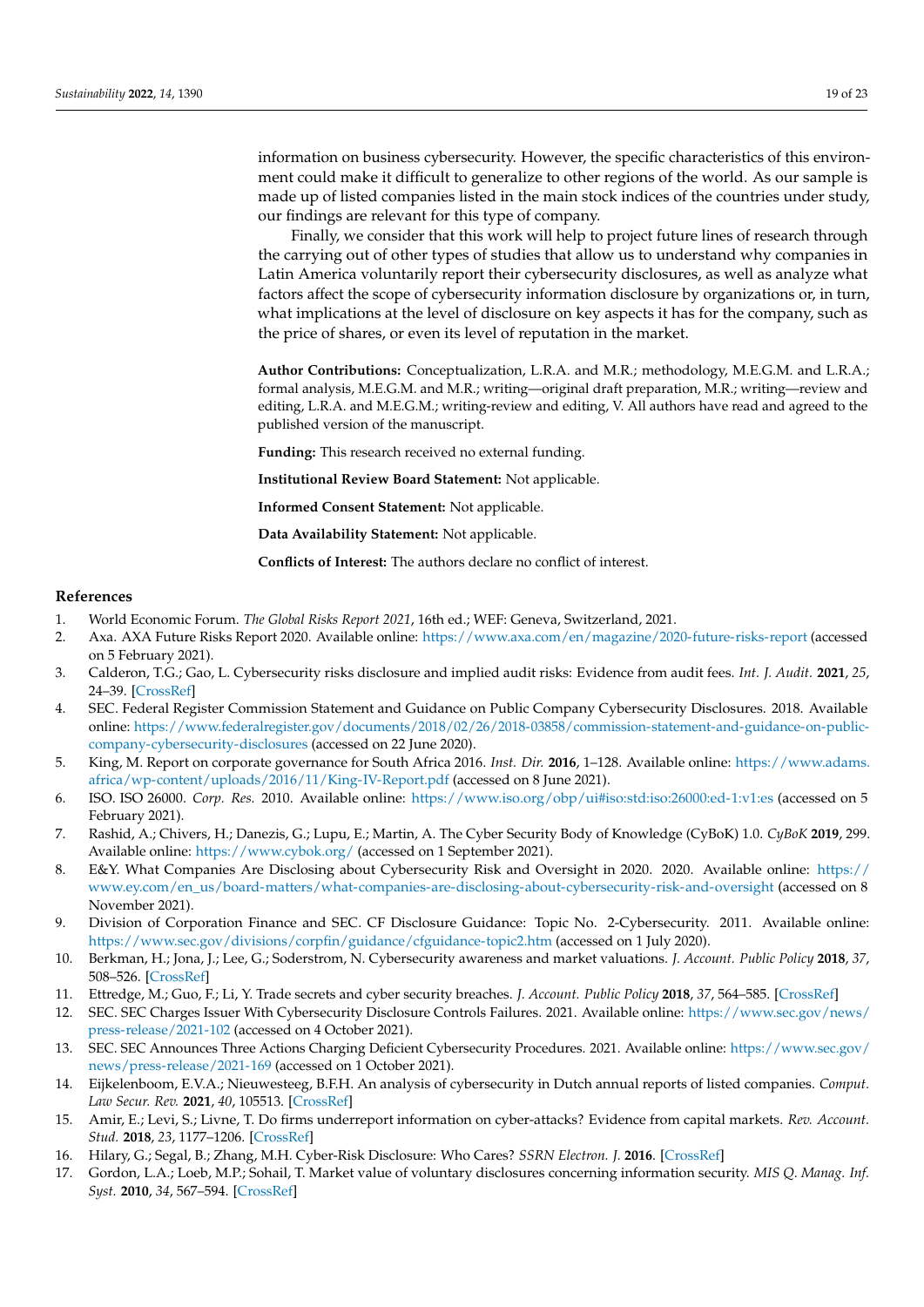information on business cybersecurity. However, the specific characteristics of this environment could make it difficult to generalize to other regions of the world. As our sample is made up of listed companies listed in the main stock indices of the countries under study, our findings are relevant for this type of company.

Finally, we consider that this work will help to project future lines of research through the carrying out of other types of studies that allow us to understand why companies in Latin America voluntarily report their cybersecurity disclosures, as well as analyze what factors affect the scope of cybersecurity information disclosure by organizations or, in turn, what implications at the level of disclosure on key aspects it has for the company, such as the price of shares, or even its level of reputation in the market.

**Author Contributions:** Conceptualization, L.R.A. and M.R.; methodology, M.E.G.M. and L.R.A.; formal analysis, M.E.G.M. and M.R.; writing—original draft preparation, M.R.; writing—review and editing, L.R.A. and M.E.G.M.; writing-review and editing, V. All authors have read and agreed to the published version of the manuscript.

**Funding:** This research received no external funding.

**Institutional Review Board Statement:** Not applicable.

**Informed Consent Statement:** Not applicable.

**Data Availability Statement:** Not applicable.

**Conflicts of Interest:** The authors declare no conflict of interest.

#### **References**

- <span id="page-18-0"></span>1. World Economic Forum. *The Global Risks Report 2021*, 16th ed.; WEF: Geneva, Switzerland, 2021.
- <span id="page-18-1"></span>2. Axa. AXA Future Risks Report 2020. Available online: <https://www.axa.com/en/magazine/2020-future-risks-report> (accessed on 5 February 2021).
- <span id="page-18-2"></span>3. Calderon, T.G.; Gao, L. Cybersecurity risks disclosure and implied audit risks: Evidence from audit fees. *Int. J. Audit.* **2021**, *25*, 24–39. [\[CrossRef\]](http://doi.org/10.1111/ijau.12209)
- <span id="page-18-3"></span>4. SEC. Federal Register Commission Statement and Guidance on Public Company Cybersecurity Disclosures. 2018. Available online: [https://www.federalregister.gov/documents/2018/02/26/2018-03858/commission-statement-and-guidance-on-public](https://www.federalregister.gov/documents/2018/02/26/2018-03858/commission-statement-and-guidance-on-public-company-cybersecurity-disclosures)[company-cybersecurity-disclosures](https://www.federalregister.gov/documents/2018/02/26/2018-03858/commission-statement-and-guidance-on-public-company-cybersecurity-disclosures) (accessed on 22 June 2020).
- <span id="page-18-4"></span>5. King, M. Report on corporate governance for South Africa 2016. *Inst. Dir.* **2016**, 1–128. Available online: [https://www.adams.](https://www.adams.africa/wp-content/uploads/2016/11/King-IV-Report.pdf) [africa/wp-content/uploads/2016/11/King-IV-Report.pdf](https://www.adams.africa/wp-content/uploads/2016/11/King-IV-Report.pdf) (accessed on 8 June 2021).
- <span id="page-18-5"></span>6. ISO. ISO 26000. *Corp. Res.* 2010. Available online: <https://www.iso.org/obp/ui#iso:std:iso:26000:ed-1:v1:es> (accessed on 5 February 2021).
- <span id="page-18-6"></span>7. Rashid, A.; Chivers, H.; Danezis, G.; Lupu, E.; Martin, A. The Cyber Security Body of Knowledge (CyBoK) 1.0. *CyBoK* **2019**, 299. Available online: <https://www.cybok.org/> (accessed on 1 September 2021).
- <span id="page-18-7"></span>8. E&Y. What Companies Are Disclosing about Cybersecurity Risk and Oversight in 2020. 2020. Available online: [https://](https://www.ey.com/en_us/board-matters/what-companies-are-disclosing-about-cybersecurity-risk-and-oversight) [www.ey.com/en\\_us/board-matters/what-companies-are-disclosing-about-cybersecurity-risk-and-oversight](https://www.ey.com/en_us/board-matters/what-companies-are-disclosing-about-cybersecurity-risk-and-oversight) (accessed on 8 November 2021).
- <span id="page-18-8"></span>9. Division of Corporation Finance and SEC. CF Disclosure Guidance: Topic No. 2-Cybersecurity. 2011. Available online: <https://www.sec.gov/divisions/corpfin/guidance/cfguidance-topic2.htm> (accessed on 1 July 2020).
- <span id="page-18-9"></span>10. Berkman, H.; Jona, J.; Lee, G.; Soderstrom, N. Cybersecurity awareness and market valuations. *J. Account. Public Policy* **2018**, *37*, 508–526. [\[CrossRef\]](http://doi.org/10.1016/j.jaccpubpol.2018.10.003)
- <span id="page-18-10"></span>11. Ettredge, M.; Guo, F.; Li, Y. Trade secrets and cyber security breaches. *J. Account. Public Policy* **2018**, *37*, 564–585. [\[CrossRef\]](http://doi.org/10.1016/j.jaccpubpol.2018.10.006)
- <span id="page-18-11"></span>12. SEC. SEC Charges Issuer With Cybersecurity Disclosure Controls Failures. 2021. Available online: [https://www.sec.gov/news/](https://www.sec.gov/news/press-release/2021-102) [press-release/2021-102](https://www.sec.gov/news/press-release/2021-102) (accessed on 4 October 2021).
- <span id="page-18-12"></span>13. SEC. SEC Announces Three Actions Charging Deficient Cybersecurity Procedures. 2021. Available online: [https://www.sec.gov/](https://www.sec.gov/news/press-release/2021-169) [news/press-release/2021-169](https://www.sec.gov/news/press-release/2021-169) (accessed on 1 October 2021).
- <span id="page-18-13"></span>14. Eijkelenboom, E.V.A.; Nieuwesteeg, B.F.H. An analysis of cybersecurity in Dutch annual reports of listed companies. *Comput. Law Secur. Rev.* **2021**, *40*, 105513. [\[CrossRef\]](http://doi.org/10.1016/j.clsr.2020.105513)
- <span id="page-18-14"></span>15. Amir, E.; Levi, S.; Livne, T. Do firms underreport information on cyber-attacks? Evidence from capital markets. *Rev. Account. Stud.* **2018**, *23*, 1177–1206. [\[CrossRef\]](http://doi.org/10.1007/s11142-018-9452-4)
- <span id="page-18-16"></span>16. Hilary, G.; Segal, B.; Zhang, M.H. Cyber-Risk Disclosure: Who Cares? *SSRN Electron. J.* **2016**. [\[CrossRef\]](http://doi.org/10.2139/ssrn.2852519)
- <span id="page-18-15"></span>17. Gordon, L.A.; Loeb, M.P.; Sohail, T. Market value of voluntary disclosures concerning information security. *MIS Q. Manag. Inf. Syst.* **2010**, *34*, 567–594. [\[CrossRef\]](http://doi.org/10.2307/25750692)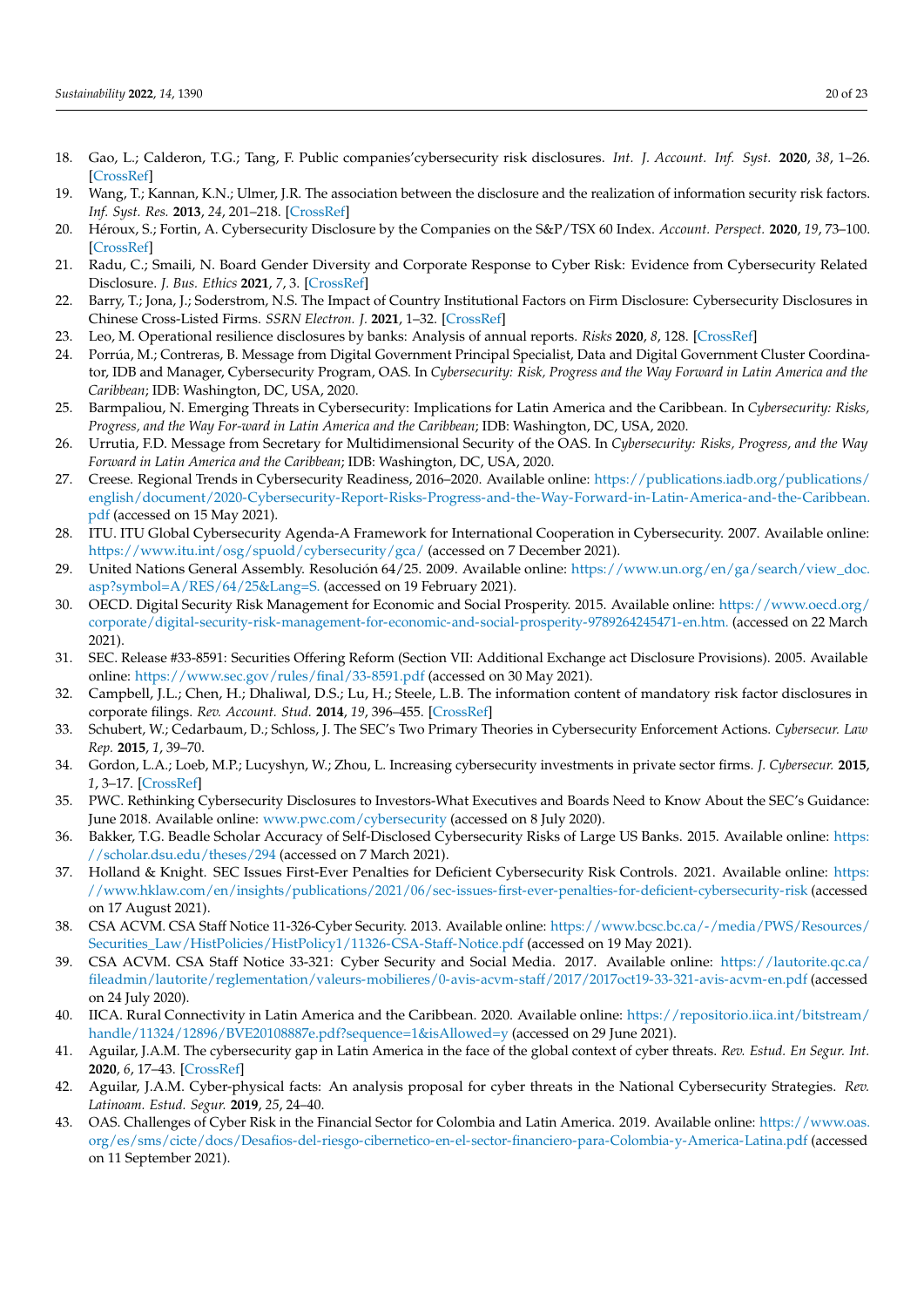- <span id="page-19-4"></span>18. Gao, L.; Calderon, T.G.; Tang, F. Public companies'cybersecurity risk disclosures. *Int. J. Account. Inf. Syst.* **2020**, *38*, 1–26. [\[CrossRef\]](http://doi.org/10.1016/j.accinf.2020.100468)
- <span id="page-19-0"></span>19. Wang, T.; Kannan, K.N.; Ulmer, J.R. The association between the disclosure and the realization of information security risk factors. *Inf. Syst. Res.* **2013**, *24*, 201–218. [\[CrossRef\]](http://doi.org/10.1287/isre.1120.0437)
- <span id="page-19-1"></span>20. Héroux, S.; Fortin, A. Cybersecurity Disclosure by the Companies on the S&P/TSX 60 Index. *Account. Perspect.* **2020**, *19*, 73–100. [\[CrossRef\]](http://doi.org/10.1111/1911-3838.12220)
- <span id="page-19-2"></span>21. Radu, C.; Smaili, N. Board Gender Diversity and Corporate Response to Cyber Risk: Evidence from Cybersecurity Related Disclosure. *J. Bus. Ethics* **2021**, *7*, 3. [\[CrossRef\]](http://doi.org/10.1007/s10551-020-04717-9)
- <span id="page-19-3"></span>22. Barry, T.; Jona, J.; Soderstrom, N.S. The Impact of Country Institutional Factors on Firm Disclosure: Cybersecurity Disclosures in Chinese Cross-Listed Firms. *SSRN Electron. J.* **2021**, 1–32. [\[CrossRef\]](http://doi.org/10.2139/ssrn.3916525)
- <span id="page-19-5"></span>23. Leo, M. Operational resilience disclosures by banks: Analysis of annual reports. *Risks* **2020**, *8*, 128. [\[CrossRef\]](http://doi.org/10.3390/risks8040128)
- <span id="page-19-6"></span>24. Porrúa, M.; Contreras, B. Message from Digital Government Principal Specialist, Data and Digital Government Cluster Coordinator, IDB and Manager, Cybersecurity Program, OAS. In *Cybersecurity: Risk, Progress and the Way Forward in Latin America and the Caribbean*; IDB: Washington, DC, USA, 2020.
- <span id="page-19-7"></span>25. Barmpaliou, N. Emerging Threats in Cybersecurity: Implications for Latin America and the Caribbean. In *Cybersecurity: Risks, Progress, and the Way For-ward in Latin America and the Caribbean*; IDB: Washington, DC, USA, 2020.
- <span id="page-19-8"></span>26. Urrutia, F.D. Message from Secretary for Multidimensional Security of the OAS. In *Cybersecurity: Risks, Progress, and the Way Forward in Latin America and the Caribbean*; IDB: Washington, DC, USA, 2020.
- <span id="page-19-9"></span>27. Creese. Regional Trends in Cybersecurity Readiness, 2016–2020. Available online: [https://publications.iadb.org/publications/](https://publications.iadb.org/publications/english/document/2020-Cybersecurity-Report-Risks-Progress-and-the-Way-Forward-in-Latin-America-and-the-Caribbean.pdf) [english/document/2020-Cybersecurity-Report-Risks-Progress-and-the-Way-Forward-in-Latin-America-and-the-Caribbean.](https://publications.iadb.org/publications/english/document/2020-Cybersecurity-Report-Risks-Progress-and-the-Way-Forward-in-Latin-America-and-the-Caribbean.pdf) [pdf](https://publications.iadb.org/publications/english/document/2020-Cybersecurity-Report-Risks-Progress-and-the-Way-Forward-in-Latin-America-and-the-Caribbean.pdf) (accessed on 15 May 2021).
- <span id="page-19-10"></span>28. ITU. ITU Global Cybersecurity Agenda-A Framework for International Cooperation in Cybersecurity. 2007. Available online: <https://www.itu.int/osg/spuold/cybersecurity/gca/> (accessed on 7 December 2021).
- <span id="page-19-11"></span>29. United Nations General Assembly. Resolución 64/25. 2009. Available online: [https://www.un.org/en/ga/search/view\\_doc.](https://www.un.org/en/ga/search/view_doc.asp?symbol=A/RES/64/25&Lang=S.) [asp?symbol=A/RES/64/25&Lang=S.](https://www.un.org/en/ga/search/view_doc.asp?symbol=A/RES/64/25&Lang=S.) (accessed on 19 February 2021).
- <span id="page-19-12"></span>30. OECD. Digital Security Risk Management for Economic and Social Prosperity. 2015. Available online: [https://www.oecd.org/](https://www.oecd.org/corporate/digital-security-risk-management-for-economic-and-social-prosperity-9789264245471-en.htm.) [corporate/digital-security-risk-management-for-economic-and-social-prosperity-9789264245471-en.htm.](https://www.oecd.org/corporate/digital-security-risk-management-for-economic-and-social-prosperity-9789264245471-en.htm.) (accessed on 22 March 2021).
- <span id="page-19-13"></span>31. SEC. Release #33-8591: Securities Offering Reform (Section VII: Additional Exchange act Disclosure Provisions). 2005. Available online: <https://www.sec.gov/rules/final/33-8591.pdf> (accessed on 30 May 2021).
- <span id="page-19-14"></span>32. Campbell, J.L.; Chen, H.; Dhaliwal, D.S.; Lu, H.; Steele, L.B. The information content of mandatory risk factor disclosures in corporate filings. *Rev. Account. Stud.* **2014**, *19*, 396–455. [\[CrossRef\]](http://doi.org/10.1007/s11142-013-9258-3)
- <span id="page-19-15"></span>33. Schubert, W.; Cedarbaum, D.; Schloss, J. The SEC's Two Primary Theories in Cybersecurity Enforcement Actions. *Cybersecur. Law Rep.* **2015**, *1*, 39–70.
- <span id="page-19-16"></span>34. Gordon, L.A.; Loeb, M.P.; Lucyshyn, W.; Zhou, L. Increasing cybersecurity investments in private sector firms. *J. Cybersecur.* **2015**, *1*, 3–17. [\[CrossRef\]](http://doi.org/10.1093/cybsec/tyv011)
- <span id="page-19-17"></span>35. PWC. Rethinking Cybersecurity Disclosures to Investors-What Executives and Boards Need to Know About the SEC's Guidance: June 2018. Available online: <www.pwc.com/cybersecurity> (accessed on 8 July 2020).
- <span id="page-19-18"></span>36. Bakker, T.G. Beadle Scholar Accuracy of Self-Disclosed Cybersecurity Risks of Large US Banks. 2015. Available online: [https:](https://scholar.dsu.edu/theses/294) [//scholar.dsu.edu/theses/294](https://scholar.dsu.edu/theses/294) (accessed on 7 March 2021).
- <span id="page-19-19"></span>37. Holland & Knight. SEC Issues First-Ever Penalties for Deficient Cybersecurity Risk Controls. 2021. Available online: [https:](https://www.hklaw.com/en/insights/publications/2021/06/sec-issues-first-ever-penalties-for-deficient-cybersecurity-risk) [//www.hklaw.com/en/insights/publications/2021/06/sec-issues-first-ever-penalties-for-deficient-cybersecurity-risk](https://www.hklaw.com/en/insights/publications/2021/06/sec-issues-first-ever-penalties-for-deficient-cybersecurity-risk) (accessed on 17 August 2021).
- <span id="page-19-20"></span>38. CSA ACVM. CSA Staff Notice 11-326-Cyber Security. 2013. Available online: [https://www.bcsc.bc.ca/-/media/PWS/Resources/](https://www.bcsc.bc.ca/-/media/PWS/Resources/Securities_Law/HistPolicies/HistPolicy1/11326-CSA-Staff-Notice.pdf) [Securities\\_Law/HistPolicies/HistPolicy1/11326-CSA-Staff-Notice.pdf](https://www.bcsc.bc.ca/-/media/PWS/Resources/Securities_Law/HistPolicies/HistPolicy1/11326-CSA-Staff-Notice.pdf) (accessed on 19 May 2021).
- <span id="page-19-21"></span>39. CSA ACVM. CSA Staff Notice 33-321: Cyber Security and Social Media. 2017. Available online: [https://lautorite.qc.ca/](https://lautorite.qc.ca/fileadmin/lautorite/reglementation/valeurs-mobilieres/0-avis-acvm-staff/2017/2017oct19-33-321-avis-acvm-en.pdf) [fileadmin/lautorite/reglementation/valeurs-mobilieres/0-avis-acvm-staff/2017/2017oct19-33-321-avis-acvm-en.pdf](https://lautorite.qc.ca/fileadmin/lautorite/reglementation/valeurs-mobilieres/0-avis-acvm-staff/2017/2017oct19-33-321-avis-acvm-en.pdf) (accessed on 24 July 2020).
- <span id="page-19-22"></span>40. IICA. Rural Connectivity in Latin America and the Caribbean. 2020. Available online: [https://repositorio.iica.int/bitstream/](https://repositorio.iica.int/bitstream/handle/11324/12896/BVE20108887e.pdf?sequence=1&isAllowed=y) [handle/11324/12896/BVE20108887e.pdf?sequence=1&isAllowed=y](https://repositorio.iica.int/bitstream/handle/11324/12896/BVE20108887e.pdf?sequence=1&isAllowed=y) (accessed on 29 June 2021).
- <span id="page-19-23"></span>41. Aguilar, J.A.M. The cybersecurity gap in Latin America in the face of the global context of cyber threats. *Rev. Estud. En Segur. Int.* **2020**, *6*, 17–43. [\[CrossRef\]](http://doi.org/10.18847/1.12.2)
- <span id="page-19-24"></span>42. Aguilar, J.A.M. Cyber-physical facts: An analysis proposal for cyber threats in the National Cybersecurity Strategies. *Rev. Latinoam. Estud. Segur.* **2019**, *25*, 24–40.
- <span id="page-19-25"></span>43. OAS. Challenges of Cyber Risk in the Financial Sector for Colombia and Latin America. 2019. Available online: [https://www.oas.](https://www.oas.org/es/sms/cicte/docs/Desafios-del-riesgo-cibernetico-en-el-sector-financiero-para-Colombia-y-America-Latina.pdf) [org/es/sms/cicte/docs/Desafios-del-riesgo-cibernetico-en-el-sector-financiero-para-Colombia-y-America-Latina.pdf](https://www.oas.org/es/sms/cicte/docs/Desafios-del-riesgo-cibernetico-en-el-sector-financiero-para-Colombia-y-America-Latina.pdf) (accessed on 11 September 2021).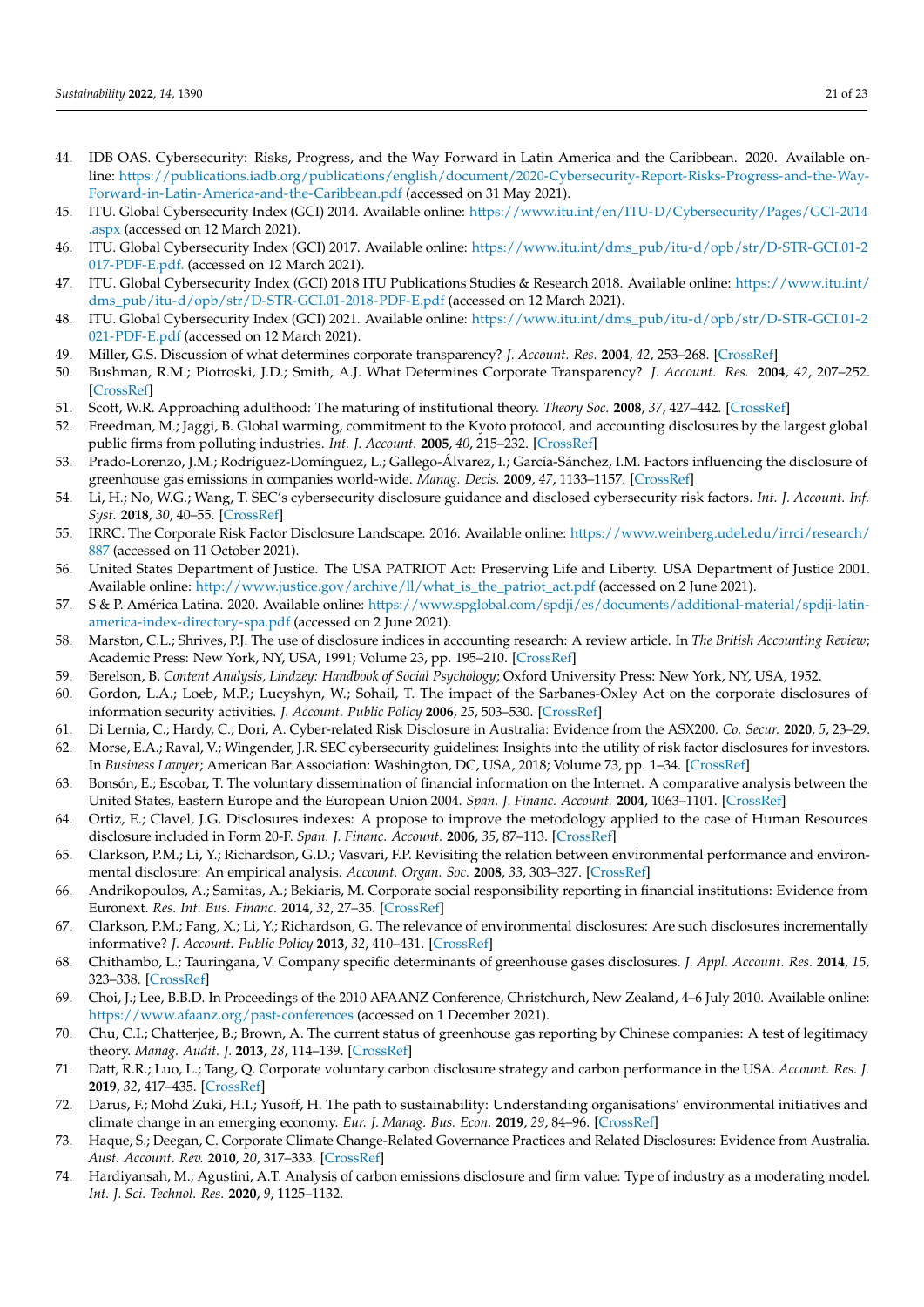- <span id="page-20-0"></span>44. IDB OAS. Cybersecurity: Risks, Progress, and the Way Forward in Latin America and the Caribbean. 2020. Available online: [https://publications.iadb.org/publications/english/document/2020-Cybersecurity-Report-Risks-Progress-and-the-Way-](https://publications.iadb.org/publications/english/document/2020-Cybersecurity-Report-Risks-Progress-and-the-Way-Forward-in-Latin-America-and-the-Caribbean.pdf)[Forward-in-Latin-America-and-the-Caribbean.pdf](https://publications.iadb.org/publications/english/document/2020-Cybersecurity-Report-Risks-Progress-and-the-Way-Forward-in-Latin-America-and-the-Caribbean.pdf) (accessed on 31 May 2021).
- <span id="page-20-1"></span>45. ITU. Global Cybersecurity Index (GCI) 2014. Available online: [https://www.itu.int/en/ITU-D/Cybersecurity/Pages/GCI-2014](https://www.itu.int/en/ITU-D/Cybersecurity/Pages/GCI-2014.aspx) [.aspx](https://www.itu.int/en/ITU-D/Cybersecurity/Pages/GCI-2014.aspx) (accessed on 12 March 2021).
- <span id="page-20-2"></span>46. ITU. Global Cybersecurity Index (GCI) 2017. Available online: [https://www.itu.int/dms\\_pub/itu-d/opb/str/D-STR-GCI.01-2](https://www.itu.int/dms_pub/itu-d/opb/str/D-STR-GCI.01-2017-PDF-E.pdf.) [017-PDF-E.pdf.](https://www.itu.int/dms_pub/itu-d/opb/str/D-STR-GCI.01-2017-PDF-E.pdf.) (accessed on 12 March 2021).
- <span id="page-20-3"></span>47. ITU. Global Cybersecurity Index (GCI) 2018 ITU Publications Studies & Research 2018. Available online: [https://www.itu.int/](https://www.itu.int/dms_pub/itu-d/opb/str/D-STR-GCI.01-2018-PDF-E.pdf) [dms\\_pub/itu-d/opb/str/D-STR-GCI.01-2018-PDF-E.pdf](https://www.itu.int/dms_pub/itu-d/opb/str/D-STR-GCI.01-2018-PDF-E.pdf) (accessed on 12 March 2021).
- <span id="page-20-4"></span>48. ITU. Global Cybersecurity Index (GCI) 2021. Available online: [https://www.itu.int/dms\\_pub/itu-d/opb/str/D-STR-GCI.01-2](https://www.itu.int/dms_pub/itu-d/opb/str/D-STR-GCI.01-2021-PDF-E.pdf) [021-PDF-E.pdf](https://www.itu.int/dms_pub/itu-d/opb/str/D-STR-GCI.01-2021-PDF-E.pdf) (accessed on 12 March 2021).
- <span id="page-20-5"></span>49. Miller, G.S. Discussion of what determines corporate transparency? *J. Account. Res.* **2004**, *42*, 253–268. [\[CrossRef\]](http://doi.org/10.1111/j.1475-679X.2004.00137.x)
- <span id="page-20-6"></span>50. Bushman, R.M.; Piotroski, J.D.; Smith, A.J. What Determines Corporate Transparency? *J. Account. Res.* **2004**, *42*, 207–252. [\[CrossRef\]](http://doi.org/10.1111/j.1475-679X.2004.00136.x)
- <span id="page-20-7"></span>51. Scott, W.R. Approaching adulthood: The maturing of institutional theory. *Theory Soc.* **2008**, *37*, 427–442. [\[CrossRef\]](http://doi.org/10.1007/s11186-008-9067-z)
- <span id="page-20-8"></span>52. Freedman, M.; Jaggi, B. Global warming, commitment to the Kyoto protocol, and accounting disclosures by the largest global public firms from polluting industries. *Int. J. Account.* **2005**, *40*, 215–232. [\[CrossRef\]](http://doi.org/10.1016/j.intacc.2005.06.004)
- <span id="page-20-11"></span>53. Prado-Lorenzo, J.M.; Rodríguez-Domínguez, L.; Gallego-Álvarez, I.; García-Sánchez, I.M. Factors influencing the disclosure of greenhouse gas emissions in companies world-wide. *Manag. Decis.* **2009**, *47*, 1133–1157. [\[CrossRef\]](http://doi.org/10.1108/00251740910978340)
- <span id="page-20-12"></span>54. Li, H.; No, W.G.; Wang, T. SEC's cybersecurity disclosure guidance and disclosed cybersecurity risk factors. *Int. J. Account. Inf. Syst.* **2018**, *30*, 40–55. [\[CrossRef\]](http://doi.org/10.1016/j.accinf.2018.06.003)
- <span id="page-20-9"></span>55. IRRC. The Corporate Risk Factor Disclosure Landscape. 2016. Available online: [https://www.weinberg.udel.edu/irrci/research/](https://www.weinberg.udel.edu/irrci/research/887) [887](https://www.weinberg.udel.edu/irrci/research/887) (accessed on 11 October 2021).
- <span id="page-20-10"></span>56. United States Department of Justice. The USA PATRIOT Act: Preserving Life and Liberty. USA Department of Justice 2001. Available online: [http://www.justice.gov/archive/ll/what\\_is\\_the\\_patriot\\_act.pdf](http://www.justice.gov/archive/ll/what_is_the_patriot_act.pdf) (accessed on 2 June 2021).
- <span id="page-20-13"></span>57. S & P. América Latina. 2020. Available online: [https://www.spglobal.com/spdji/es/documents/additional-material/spdji-latin](https://www.spglobal.com/spdji/es/documents/additional-material/spdji-latin-america-index-directory-spa.pdf)[america-index-directory-spa.pdf](https://www.spglobal.com/spdji/es/documents/additional-material/spdji-latin-america-index-directory-spa.pdf) (accessed on 2 June 2021).
- <span id="page-20-14"></span>58. Marston, C.L.; Shrives, P.J. The use of disclosure indices in accounting research: A review article. In *The British Accounting Review*; Academic Press: New York, NY, USA, 1991; Volume 23, pp. 195–210. [\[CrossRef\]](http://doi.org/10.1016/0890-8389(91)90080-L)
- <span id="page-20-15"></span>59. Berelson, B. *Content Analysis, Lindzey: Handbook of Social Psychology*; Oxford University Press: New York, NY, USA, 1952.
- <span id="page-20-16"></span>60. Gordon, L.A.; Loeb, M.P.; Lucyshyn, W.; Sohail, T. The impact of the Sarbanes-Oxley Act on the corporate disclosures of information security activities. *J. Account. Public Policy* **2006**, *25*, 503–530. [\[CrossRef\]](http://doi.org/10.1016/j.jaccpubpol.2006.07.005)
- 61. Di Lernia, C.; Hardy, C.; Dori, A. Cyber-related Risk Disclosure in Australia: Evidence from the ASX200. *Co. Secur.* **2020**, *5*, 23–29.
- <span id="page-20-17"></span>62. Morse, E.A.; Raval, V.; Wingender, J.R. SEC cybersecurity guidelines: Insights into the utility of risk factor disclosures for investors. In *Business Lawyer*; American Bar Association: Washington, DC, USA, 2018; Volume 73, pp. 1–34. [\[CrossRef\]](http://doi.org/10.2139/ssrn.2711439)
- <span id="page-20-18"></span>63. Bonsón, E.; Escobar, T. The voluntary dissemination of financial information on the Internet. A comparative analysis between the United States, Eastern Europe and the European Union 2004. *Span. J. Financ. Account.* **2004**, 1063–1101. [\[CrossRef\]](http://doi.org/10.1080/02102412.2004.10779539)
- <span id="page-20-19"></span>64. Ortiz, E.; Clavel, J.G. Disclosures indexes: A propose to improve the metodology applied to the case of Human Resources disclosure included in Form 20-F. *Span. J. Financ. Account.* **2006**, *35*, 87–113. [\[CrossRef\]](http://doi.org/10.1080/02102412.2006.10779574)
- <span id="page-20-20"></span>65. Clarkson, P.M.; Li, Y.; Richardson, G.D.; Vasvari, F.P. Revisiting the relation between environmental performance and environmental disclosure: An empirical analysis. *Account. Organ. Soc.* **2008**, *33*, 303–327. [\[CrossRef\]](http://doi.org/10.1016/j.aos.2007.05.003)
- 66. Andrikopoulos, A.; Samitas, A.; Bekiaris, M. Corporate social responsibility reporting in financial institutions: Evidence from Euronext. *Res. Int. Bus. Financ.* **2014**, *32*, 27–35. [\[CrossRef\]](http://doi.org/10.1016/j.ribaf.2014.02.001)
- 67. Clarkson, P.M.; Fang, X.; Li, Y.; Richardson, G. The relevance of environmental disclosures: Are such disclosures incrementally informative? *J. Account. Public Policy* **2013**, *32*, 410–431. [\[CrossRef\]](http://doi.org/10.1016/j.jaccpubpol.2013.06.008)
- 68. Chithambo, L.; Tauringana, V. Company specific determinants of greenhouse gases disclosures. *J. Appl. Account. Res.* **2014**, *15*, 323–338. [\[CrossRef\]](http://doi.org/10.1108/JAAR-11-2013-0087)
- 69. Choi, J.; Lee, B.B.D. In Proceedings of the 2010 AFAANZ Conference, Christchurch, New Zealand, 4–6 July 2010. Available online: <https://www.afaanz.org/past-conferences> (accessed on 1 December 2021).
- 70. Chu, C.I.; Chatterjee, B.; Brown, A. The current status of greenhouse gas reporting by Chinese companies: A test of legitimacy theory. *Manag. Audit. J.* **2013**, *28*, 114–139. [\[CrossRef\]](http://doi.org/10.1108/02686901311284531)
- 71. Datt, R.R.; Luo, L.; Tang, Q. Corporate voluntary carbon disclosure strategy and carbon performance in the USA. *Account. Res. J.* **2019**, *32*, 417–435. [\[CrossRef\]](http://doi.org/10.1108/ARJ-02-2017-0031)
- 72. Darus, F.; Mohd Zuki, H.I.; Yusoff, H. The path to sustainability: Understanding organisations' environmental initiatives and climate change in an emerging economy. *Eur. J. Manag. Bus. Econ.* **2019**, *29*, 84–96. [\[CrossRef\]](http://doi.org/10.1108/EJMBE-06-2019-0099)
- 73. Haque, S.; Deegan, C. Corporate Climate Change-Related Governance Practices and Related Disclosures: Evidence from Australia. *Aust. Account. Rev.* **2010**, *20*, 317–333. [\[CrossRef\]](http://doi.org/10.1111/j.1835-2561.2010.00107.x)
- 74. Hardiyansah, M.; Agustini, A.T. Analysis of carbon emissions disclosure and firm value: Type of industry as a moderating model. *Int. J. Sci. Technol. Res.* **2020**, *9*, 1125–1132.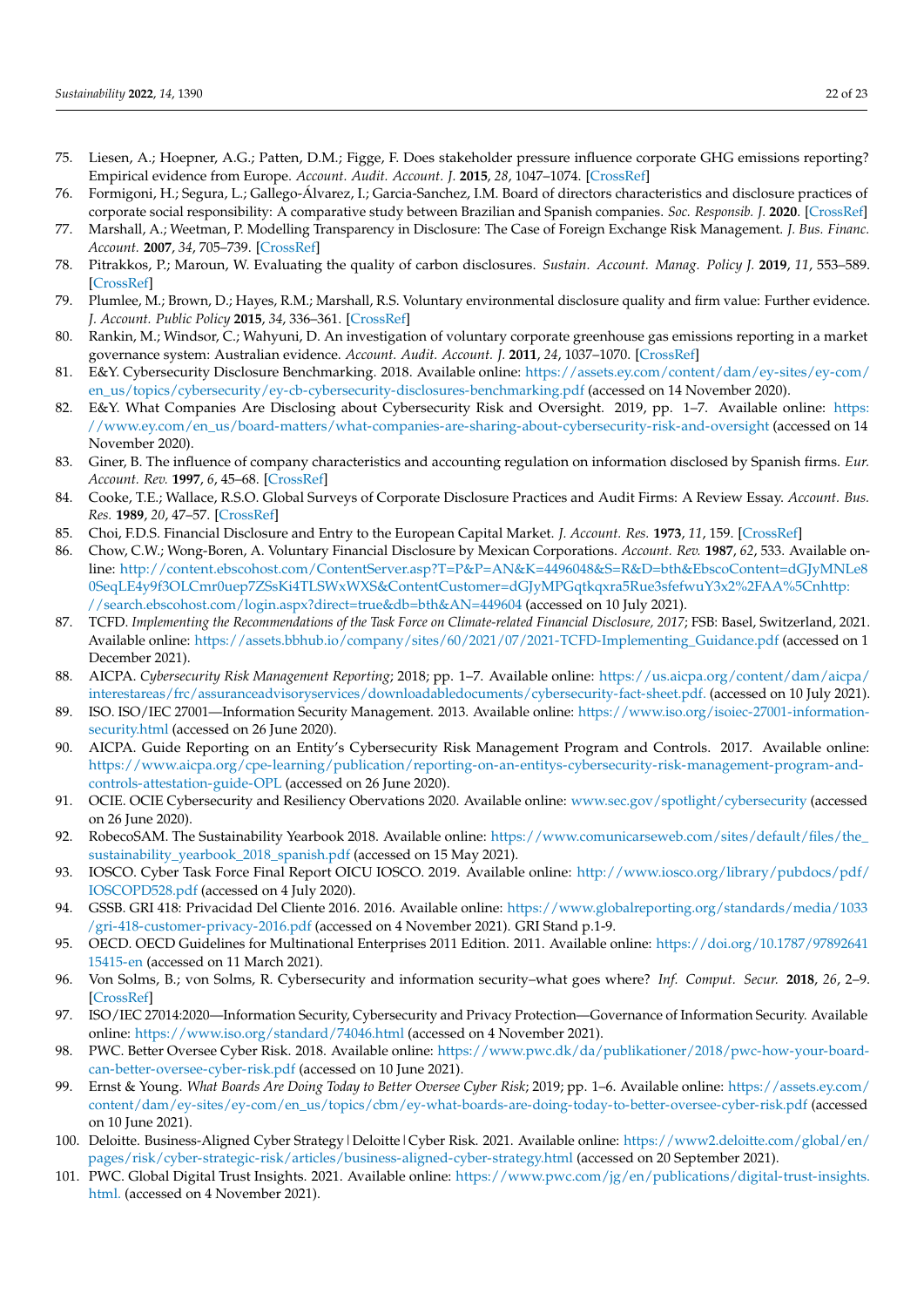- 75. Liesen, A.; Hoepner, A.G.; Patten, D.M.; Figge, F. Does stakeholder pressure influence corporate GHG emissions reporting? Empirical evidence from Europe. *Account. Audit. Account. J.* **2015**, *28*, 1047–1074. [\[CrossRef\]](http://doi.org/10.1108/AAAJ-12-2013-1547)
- 76. Formigoni, H.; Segura, L.; Gallego-Álvarez, I.; Garcia-Sanchez, I.M. Board of directors characteristics and disclosure practices of corporate social responsibility: A comparative study between Brazilian and Spanish companies. *Soc. Responsib. J.* **2020**. [\[CrossRef\]](http://doi.org/10.1108/SRJ-01-2019-0043)
- 77. Marshall, A.; Weetman, P. Modelling Transparency in Disclosure: The Case of Foreign Exchange Risk Management. *J. Bus. Financ. Account.* **2007**, *34*, 705–739. [\[CrossRef\]](http://doi.org/10.1111/j.1468-5957.2007.02007.x)
- 78. Pitrakkos, P.; Maroun, W. Evaluating the quality of carbon disclosures. *Sustain. Account. Manag. Policy J.* **2019**, *11*, 553–589. [\[CrossRef\]](http://doi.org/10.1108/SAMPJ-03-2018-0081)
- 79. Plumlee, M.; Brown, D.; Hayes, R.M.; Marshall, R.S. Voluntary environmental disclosure quality and firm value: Further evidence. *J. Account. Public Policy* **2015**, *34*, 336–361. [\[CrossRef\]](http://doi.org/10.1016/j.jaccpubpol.2015.04.004)
- <span id="page-21-0"></span>80. Rankin, M.; Windsor, C.; Wahyuni, D. An investigation of voluntary corporate greenhouse gas emissions reporting in a market governance system: Australian evidence. *Account. Audit. Account. J.* **2011**, *24*, 1037–1070. [\[CrossRef\]](http://doi.org/10.1108/09513571111184751)
- <span id="page-21-1"></span>81. E&Y. Cybersecurity Disclosure Benchmarking. 2018. Available online: [https://assets.ey.com/content/dam/ey-sites/ey-com/](https://assets.ey.com/content/dam/ey-sites/ey-com/en_us/topics/cybersecurity/ey-cb-cybersecurity-disclosures-benchmarking.pdf) [en\\_us/topics/cybersecurity/ey-cb-cybersecurity-disclosures-benchmarking.pdf](https://assets.ey.com/content/dam/ey-sites/ey-com/en_us/topics/cybersecurity/ey-cb-cybersecurity-disclosures-benchmarking.pdf) (accessed on 14 November 2020).
- <span id="page-21-2"></span>82. E&Y. What Companies Are Disclosing about Cybersecurity Risk and Oversight. 2019, pp. 1–7. Available online: [https:](https://www.ey.com/en_us/board-matters/what-companies-are-sharing-about-cybersecurity-risk-and-oversight) [//www.ey.com/en\\_us/board-matters/what-companies-are-sharing-about-cybersecurity-risk-and-oversight](https://www.ey.com/en_us/board-matters/what-companies-are-sharing-about-cybersecurity-risk-and-oversight) (accessed on 14 November 2020).
- <span id="page-21-3"></span>83. Giner, B. The influence of company characteristics and accounting regulation on information disclosed by Spanish firms. *Eur. Account. Rev.* **1997**, *6*, 45–68. [\[CrossRef\]](http://doi.org/10.1080/096381897336863)
- <span id="page-21-4"></span>84. Cooke, T.E.; Wallace, R.S.O. Global Surveys of Corporate Disclosure Practices and Audit Firms: A Review Essay. *Account. Bus. Res.* **1989**, *20*, 47–57. [\[CrossRef\]](http://doi.org/10.1080/00014788.1989.9729394)
- <span id="page-21-5"></span>85. Choi, F.D.S. Financial Disclosure and Entry to the European Capital Market. *J. Account. Res.* **1973**, *11*, 159. [\[CrossRef\]](http://doi.org/10.2307/2490187)
- <span id="page-21-6"></span>86. Chow, C.W.; Wong-Boren, A. Voluntary Financial Disclosure by Mexican Corporations. *Account. Rev.* **1987**, *62*, 533. Available online: [http://content.ebscohost.com/ContentServer.asp?T=P&P=AN&K=4496048&S=R&D=bth&EbscoContent=dGJyMNLe8](http://content.ebscohost.com/ContentServer.asp?T=P&P=AN&K=4496048&S=R&D=bth&EbscoContent=dGJyMNLe80SeqLE4y9f3OLCmr0uep7ZSsKi4TLSWxWXS&ContentCustomer=dGJyMPGqtkqxra5Rue3sfefwuY3x2%2FAA%5Cnhttp://search.ebscohost.com/login.aspx?direct=true&db=bth&AN=449604) [0SeqLE4y9f3OLCmr0uep7ZSsKi4TLSWxWXS&ContentCustomer=dGJyMPGqtkqxra5Rue3sfefwuY3x2%2FAA%5Cnhttp:](http://content.ebscohost.com/ContentServer.asp?T=P&P=AN&K=4496048&S=R&D=bth&EbscoContent=dGJyMNLe80SeqLE4y9f3OLCmr0uep7ZSsKi4TLSWxWXS&ContentCustomer=dGJyMPGqtkqxra5Rue3sfefwuY3x2%2FAA%5Cnhttp://search.ebscohost.com/login.aspx?direct=true&db=bth&AN=449604) [//search.ebscohost.com/login.aspx?direct=true&db=bth&AN=449604](http://content.ebscohost.com/ContentServer.asp?T=P&P=AN&K=4496048&S=R&D=bth&EbscoContent=dGJyMNLe80SeqLE4y9f3OLCmr0uep7ZSsKi4TLSWxWXS&ContentCustomer=dGJyMPGqtkqxra5Rue3sfefwuY3x2%2FAA%5Cnhttp://search.ebscohost.com/login.aspx?direct=true&db=bth&AN=449604) (accessed on 10 July 2021).
- <span id="page-21-7"></span>87. TCFD. *Implementing the Recommendations of the Task Force on Climate-related Financial Disclosure, 2017*; FSB: Basel, Switzerland, 2021. Available online: [https://assets.bbhub.io/company/sites/60/2021/07/2021-TCFD-Implementing\\_Guidance.pdf](https://assets.bbhub.io/company/sites/60/2021/07/2021-TCFD-Implementing_Guidance.pdf) (accessed on 1 December 2021).
- <span id="page-21-8"></span>88. AICPA. *Cybersecurity Risk Management Reporting*; 2018; pp. 1–7. Available online: [https://us.aicpa.org/content/dam/aicpa/](https://us.aicpa.org/content/dam/aicpa/interestareas/frc/assuranceadvisoryservices/downloadabledocuments/cybersecurity-fact-sheet.pdf.) [interestareas/frc/assuranceadvisoryservices/downloadabledocuments/cybersecurity-fact-sheet.pdf.](https://us.aicpa.org/content/dam/aicpa/interestareas/frc/assuranceadvisoryservices/downloadabledocuments/cybersecurity-fact-sheet.pdf.) (accessed on 10 July 2021).
- <span id="page-21-9"></span>89. ISO. ISO/IEC 27001—Information Security Management. 2013. Available online: [https://www.iso.org/isoiec-27001-information](https://www.iso.org/isoiec-27001-information-security.html)[security.html](https://www.iso.org/isoiec-27001-information-security.html) (accessed on 26 June 2020).
- <span id="page-21-10"></span>90. AICPA. Guide Reporting on an Entity's Cybersecurity Risk Management Program and Controls. 2017. Available online: [https://www.aicpa.org/cpe-learning/publication/reporting-on-an-entitys-cybersecurity-risk-management-program-and](https://www.aicpa.org/cpe-learning/publication/reporting-on-an-entitys-cybersecurity-risk-management-program-and-controls-attestation-guide-OPL)[controls-attestation-guide-OPL](https://www.aicpa.org/cpe-learning/publication/reporting-on-an-entitys-cybersecurity-risk-management-program-and-controls-attestation-guide-OPL) (accessed on 26 June 2020).
- <span id="page-21-11"></span>91. OCIE. OCIE Cybersecurity and Resiliency Obervations 2020. Available online: <www.sec.gov/spotlight/cybersecurity> (accessed on 26 June 2020).
- <span id="page-21-12"></span>92. RobecoSAM. The Sustainability Yearbook 2018. Available online: [https://www.comunicarseweb.com/sites/default/files/the\\_](https://www.comunicarseweb.com/sites/default/files/the_sustainability_yearbook_2018_spanish.pdf) [sustainability\\_yearbook\\_2018\\_spanish.pdf](https://www.comunicarseweb.com/sites/default/files/the_sustainability_yearbook_2018_spanish.pdf) (accessed on 15 May 2021).
- <span id="page-21-13"></span>93. IOSCO. Cyber Task Force Final Report OICU IOSCO. 2019. Available online: [http://www.iosco.org/library/pubdocs/pdf/](http://www.iosco.org/library/pubdocs/pdf/IOSCOPD528.pdf) [IOSCOPD528.pdf](http://www.iosco.org/library/pubdocs/pdf/IOSCOPD528.pdf) (accessed on 4 July 2020).
- <span id="page-21-14"></span>94. GSSB. GRI 418: Privacidad Del Cliente 2016. 2016. Available online: [https://www.globalreporting.org/standards/media/1033](https://www.globalreporting.org/standards/media/1033/gri-418-customer-privacy-2016.pdf) [/gri-418-customer-privacy-2016.pdf](https://www.globalreporting.org/standards/media/1033/gri-418-customer-privacy-2016.pdf) (accessed on 4 November 2021). GRI Stand p.1-9.
- <span id="page-21-15"></span>95. OECD. OECD Guidelines for Multinational Enterprises 2011 Edition. 2011. Available online: [https://doi.org/10.1787/97892641](https://doi.org/10.1787/9789264115415-en) [15415-en](https://doi.org/10.1787/9789264115415-en) (accessed on 11 March 2021).
- <span id="page-21-16"></span>96. Von Solms, B.; von Solms, R. Cybersecurity and information security–what goes where? *Inf. Comput. Secur.* **2018**, *26*, 2–9. [\[CrossRef\]](http://doi.org/10.1108/ICS-04-2017-0025)
- <span id="page-21-17"></span>97. ISO/IEC 27014:2020—Information Security, Cybersecurity and Privacy Protection—Governance of Information Security. Available online: <https://www.iso.org/standard/74046.html> (accessed on 4 November 2021).
- <span id="page-21-18"></span>98. PWC. Better Oversee Cyber Risk. 2018. Available online: [https://www.pwc.dk/da/publikationer/2018/pwc-how-your-board](https://www.pwc.dk/da/publikationer/2018/pwc-how-your-board-can-better-oversee-cyber-risk.pdf)[can-better-oversee-cyber-risk.pdf](https://www.pwc.dk/da/publikationer/2018/pwc-how-your-board-can-better-oversee-cyber-risk.pdf) (accessed on 10 June 2021).
- <span id="page-21-19"></span>99. Ernst & Young. *What Boards Are Doing Today to Better Oversee Cyber Risk*; 2019; pp. 1–6. Available online: [https://assets.ey.com/](https://assets.ey.com/content/dam/ey-sites/ey-com/en_us/topics/cbm/ey-what-boards-are-doing-today-to-better-oversee-cyber-risk.pdf) [content/dam/ey-sites/ey-com/en\\_us/topics/cbm/ey-what-boards-are-doing-today-to-better-oversee-cyber-risk.pdf](https://assets.ey.com/content/dam/ey-sites/ey-com/en_us/topics/cbm/ey-what-boards-are-doing-today-to-better-oversee-cyber-risk.pdf) (accessed on 10 June 2021).
- <span id="page-21-20"></span>100. Deloitte. Business-Aligned Cyber Strategy|Deloitte|Cyber Risk. 2021. Available online: [https://www2.deloitte.com/global/en/](https://www2.deloitte.com/global/en/pages/risk/cyber-strategic-risk/articles/business-aligned-cyber-strategy.html) [pages/risk/cyber-strategic-risk/articles/business-aligned-cyber-strategy.html](https://www2.deloitte.com/global/en/pages/risk/cyber-strategic-risk/articles/business-aligned-cyber-strategy.html) (accessed on 20 September 2021).
- <span id="page-21-21"></span>101. PWC. Global Digital Trust Insights. 2021. Available online: [https://www.pwc.com/jg/en/publications/digital-trust-insights.](https://www.pwc.com/jg/en/publications/digital-trust-insights.html.) [html.](https://www.pwc.com/jg/en/publications/digital-trust-insights.html.) (accessed on 4 November 2021).